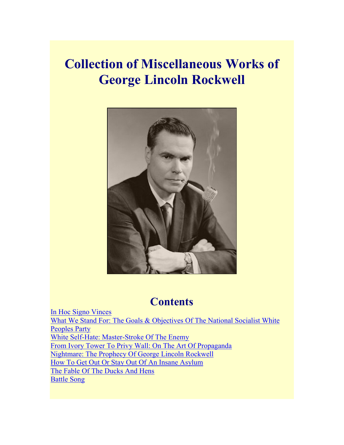# **Collection of Miscellaneous Works of George Lincoln Rockwell**



# **Contents**

[In Hoc Signo Vinces](#page-1-0) What We Stand For: The Goals & Objectives Of The National Socialist White [Peoples Party](#page-12-0) [White Self-Hate: Master-Stroke Of The Enemy](#page-15-0) [From Ivory Tower To Privy Wall: On The Art Of Propaganda](#page-25-0) [Nightmare: The Prophecy Of George Lincoln Rockwell](#page-32-0) [How To Get Out Or Stay Out Of An Insane Asylum](#page-42-0) [The Fable Of The Ducks And Hens](#page-53-0) [Battle Song](#page-60-0)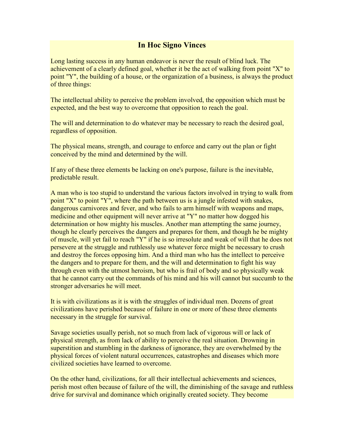## **In Hoc Signo Vinces**

<span id="page-1-0"></span>Long lasting success in any human endeavor is never the result of blind luck. The achievement of a clearly defined goal, whether it be the act of walking from point "X" to point "Y", the building of a house, or the organization of a business, is always the product of three things:

The intellectual ability to perceive the problem involved, the opposition which must be expected, and the best way to overcome that opposition to reach the goal.

The will and determination to do whatever may be necessary to reach the desired goal, regardless of opposition.

The physical means, strength, and courage to enforce and carry out the plan or fight conceived by the mind and determined by the will.

If any of these three elements be lacking on one's purpose, failure is the inevitable, predictable result.

A man who is too stupid to understand the various factors involved in trying to walk from point "X" to point "Y", where the path between us is a jungle infested with snakes, dangerous carnivores and fever, and who fails to arm himself with weapons and maps, medicine and other equipment will never arrive at "Y" no matter how dogged his determination or how mighty his muscles. Another man attempting the same journey, though he clearly perceives the dangers and prepares for them, and though he be mighty of muscle, will yet fail to reach "Y" if he is so irresolute and weak of will that he does not persevere at the struggle and ruthlessly use whatever force might be necessary to crush and destroy the forces opposing him. And a third man who has the intellect to perceive the dangers and to prepare for them, and the will and determination to fight his way through even with the utmost heroism, but who is frail of body and so physically weak that he cannot carry out the commands of his mind and his will cannot but succumb to the stronger adversaries he will meet.

It is with civilizations as it is with the struggles of individual men. Dozens of great civilizations have perished because of failure in one or more of these three elements necessary in the struggle for survival.

Savage societies usually perish, not so much from lack of vigorous will or lack of physical strength, as from lack of ability to perceive the real situation. Drowning in superstition and stumbling in the darkness of ignorance, they are overwhelmed by the physical forces of violent natural occurrences, catastrophes and diseases which more civilized societies have learned to overcome.

On the other hand, civilizations, for all their intellectual achievements and sciences, perish most often because of failure of the will, the diminishing of the savage and ruthless drive for survival and dominance which originally created society. They become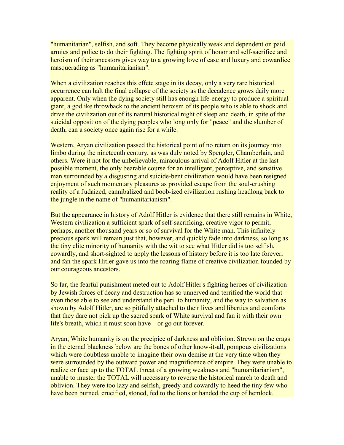"humanitarian", selfish, and soft. They become physically weak and dependent on paid armies and police to do their fighting. The fighting spirit of honor and self-sacrifice and heroism of their ancestors gives way to a growing love of ease and luxury and cowardice masquerading as "humanitarianism".

When a civilization reaches this effete stage in its decay, only a very rare historical occurrence can halt the final collapse of the society as the decadence grows daily more apparent. Only when the dying society still has enough life-energy to produce a spiritual giant, a godlike throwback to the ancient heroism of its people who is able to shock and drive the civilization out of its natural historical night of sleep and death, in spite of the suicidal opposition of the dying peoples who long only for "peace" and the slumber of death, can a society once again rise for a while.

Western, Aryan civilization passed the historical point of no return on its journey into limbo during the nineteenth century, as was duly noted by Spengler, Chamberlain, and others. Were it not for the unbelievable, miraculous arrival of Adolf Hitler at the last possible moment, the only bearable course for an intelligent, perceptive, and sensitive man surrounded by a disgusting and suicide-bent civilization would have been resigned enjoyment of such momentary pleasures as provided escape from the soul-crushing reality of a Judaized, cannibalized and boob-ized civilization rushing headlong back to the jungle in the name of "humanitarianism".

But the appearance in history of Adolf Hitler is evidence that there still remains in White, Western civilization a sufficient spark of self-sacrificing, creative vigor to permit, perhaps, another thousand years or so of survival for the White man. This infinitely precious spark will remain just that, however, and quickly fade into darkness, so long as the tiny elite minority of humanity with the wit to see what Hitler did is too selfish, cowardly, and short-sighted to apply the lessons of history before it is too late forever, and fan the spark Hitler gave us into the roaring flame of creative civilization founded by our courageous ancestors.

So far, the fearful punishment meted out to Adolf Hitler's fighting heroes of civilization by Jewish forces of decay and destruction has so unnerved and terrified the world that even those able to see and understand the peril to humanity, and the way to salvation as shown by Adolf Hitler, are so pitifully attached to their lives and liberties and comforts that they dare not pick up the sacred spark of White survival and fan it with their own life's breath, which it must soon have---or go out forever.

Aryan, White humanity is on the precipice of darkness and oblivion. Strewn on the crags in the eternal blackness below are the bones of other know-it-all, pompous civilizations which were doubtless unable to imagine their own demise at the very time when they were surrounded by the outward power and magnificence of empire. They were unable to realize or face up to the TOTAL threat of a growing weakness and "humanitarianism", unable to muster the TOTAL will necessary to reverse the historical march to death and oblivion. They were too lazy and selfish, greedy and cowardly to heed the tiny few who have been burned, crucified, stoned, fed to the lions or handed the cup of hemlock.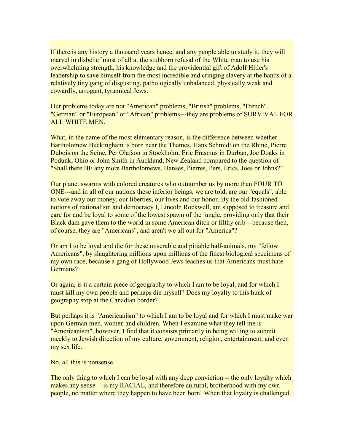If there is any history a thousand years hence, and any people able to study it, they will marvel in disbelief most of all at the stubborn refusal of the White man to use his overwhelming strength, his knowledge and the providential gift of Adolf Hitler's leadership to save himself from the most incredible and cringing slavery at the hands of a relatively tiny gang of disgusting, pathologically unbalanced, physically weak and cowardly, arrogant, tyrannical Jews.

Our problems today are not "American" problems, "British" problems, "French", "German" or "European" or "African" problems---they are problems of SURVIVAL FOR ALL WHITE MEN.

What, in the name of the most elementary reason, is the difference between whether Bartholomew Buckingham is born near the Thames, Hans Schmidt on the Rhine, Pierre Dubois on the Seine, Per Olafson in Stockholm, Eric Erasmus in Durban, Joe Doaks in Podunk, Ohio or John Smith in Auckland, New Zealand compared to the question of "Shall there BE any more Bartholomews, Hanses, Pierres, Pers, Erics, Joes or Johns?"

Our planet swarms with colored creatures who outnumber us by more than FOUR TO ONE---and in all of our nations these inferior beings, we are told, are our "equals", able to vote away our money, our liberties, our lives and our honor. By the old-fashioned notions of nationalism and democracy I, Lincoln Rockwell, am supposed to treasure and care for and be loyal to some of the lowest spawn of the jungle, providing only that their Black dam gave them to the world in some American ditch or filthy crib---because then, of course, they are "Americans", and aren't we all out for "America"?

Or am I to be loyal and die for these miserable and pitiable half-animals, my "fellow Americans", by slaughtering millions upon millions of the finest biological specimens of my own race, because a gang of Hollywood Jews teaches us that Americans must hate Germans?

Or again, is it a certain piece of geography to which I am to be loyal, and for which I must kill my own people and perhaps die myself? Does my loyalty to this hunk of geography stop at the Canadian border?

But perhaps it is "Americanism" to which I am to be loyal and for which I must make war upon German men, women and children. When I examine what they tell me is "Americanism", however, I find that it consists primarily in being willing to submit meekly to Jewish direction of my culture, government, religion, entertainment, and even my sex life.

No, all this is nonsense.

The only thing to which I can be loyal with any deep conviction -- the only loyalty which makes any sense -- is my RACIAL, and therefore cultural, brotherhood with my own people, no matter where they happen to have been born! When that loyalty is challenged,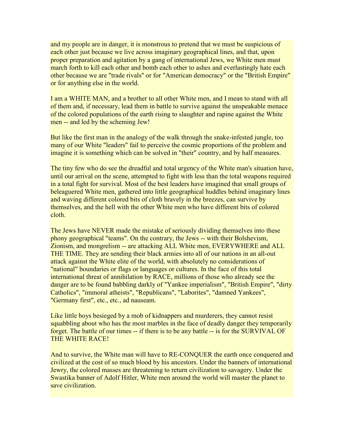and my people are in danger, it is monstrous to pretend that we must be suspicious of each other just because we live across imaginary geographical lines, and that, upon proper preparation and agitation by a gang of international Jews, we White men must march forth to kill each other and bomb each other to ashes and everlastingly hate each other because we are "trade rivals" or for "American democracy" or the "British Empire" or for anything else in the world.

I am a WHITE MAN, and a brother to all other White men, and I mean to stand with all of them and, if necessary, lead them in battle to survive against the unspeakable menace of the colored populations of the earth rising to slaughter and rapine against the White men -- and led by the scheming Jew!

But like the first man in the analogy of the walk through the snake-infested jungle, too many of our White "leaders" fail to perceive the cosmic proportions of the problem and imagine it is something which can be solved in "their" country, and by half measures.

The tiny few who do see the dreadful and total urgency of the White man's situation have, until our arrival on the scene, attempted to fight with less than the total weapons required in a total fight for survival. Most of the best leaders have imagined that small groups of beleaguered White men, gathered into little geographical huddles behind imaginary lines and waving different colored bits of cloth bravely in the breezes, can survive by themselves, and the hell with the other White men who have different bits of colored cloth.

The Jews have NEVER made the mistake of seriously dividing themselves into these phony geographical "teams". On the contrary, the Jews -- with their Bolshevism, Zionism, and mongrelism -- are attacking ALL White men, EVERYWHERE and ALL THE TIME. They are sending their black armies into all of our nations in an all-out attack against the White elite of the world, with absolutely no considerations of "national" boundaries or flags or languages or cultures. In the face of this total international threat of annihilation by RACE, millions of those who already see the danger are to be found babbling darkly of "Yankee imperialism", "British Empire", "dirty Catholics", "immoral atheists", "Republicans", "Laborites", "damned Yankees", "Germany first", etc., etc., ad nauseam.

Like little boys besieged by a mob of kidnappers and murderers, they cannot resist squabbling about who has the most marbles in the face of deadly danger they temporarily forget. The battle of our times -- if there is to be any battle -- is for the SURVIVAL OF THE WHITE RACE!

And to survive, the White man will have to RE-CONQUER the earth once conquered and civilized at the cost of so much blood by his ancestors. Under the banners of international Jewry, the colored masses are threatening to return civilization to savagery. Under the Swastika banner of Adolf Hitler, White men around the world will master the planet to save civilization.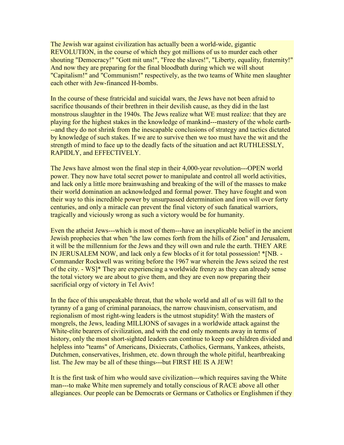The Jewish war against civilization has actually been a world-wide, gigantic REVOLUTION, in the course of which they got millions of us to murder each other shouting "Democracy!" "Gott mit uns!", "Free the slaves!", "Liberty, equality, fraternity!" And now they are preparing for the final bloodbath during which we will shout "Capitalism!" and "Communism!" respectively, as the two teams of White men slaughter each other with Jew-financed H-bombs.

In the course of these fratricidal and suicidal wars, the Jews have not been afraid to sacrifice thousands of their brethren in their devilish cause, as they did in the last monstrous slaughter in the 1940s. The Jews realize what WE must realize: that they are playing for the highest stakes in the knowledge of mankind---mastery of the whole earth- --and they do not shrink from the inescapable conclusions of strategy and tactics dictated by knowledge of such stakes. If we are to survive then we too must have the wit and the strength of mind to face up to the deadly facts of the situation and act RUTHLESSLY, RAPIDLY, and EFFECTIVELY.

The Jews have almost won the final step in their 4,000-year revolution---OPEN world power. They now have total secret power to manipulate and control all world activities, and lack only a little more brainwashing and breaking of the will of the masses to make their world domination an acknowledged and formal power. They have fought and won their way to this incredible power by unsurpassed determination and iron will over forty centuries, and only a miracle can prevent the final victory of such fanatical warriors, tragically and viciously wrong as such a victory would be for humanity.

Even the atheist Jews---which is most of them---have an inexplicable belief in the ancient Jewish prophecies that when "the law comes forth from the hills of Zion" and Jerusalem, it will be the millennium for the Jews and they will own and rule the earth. THEY ARE IN JERUSALEM NOW, and lack only a few blocks of it for total possession! \*[NB. - Commander Rockwell was writing before the 1967 war wherein the Jews seized the rest of the city. - WS]\* They are experiencing a worldwide frenzy as they can already sense the total victory we are about to give them, and they are even now preparing their sacrificial orgy of victory in Tel Aviv!

In the face of this unspeakable threat, that the whole world and all of us will fall to the tyranny of a gang of criminal paranoiacs, the narrow chauvinism, conservatism, and regionalism of most right-wing leaders is the utmost stupidity! With the masters of mongrels, the Jews, leading MILLIONS of savages in a worldwide attack against the White-elite bearers of civilization, and with the end only moments away in terms of history, only the most short-sighted leaders can continue to keep our children divided and helpless into "teams" of Americans, Dixiecrats, Catholics, Germans, Yankees, atheists, Dutchmen, conservatives, Irishmen, etc. down through the whole pitiful, heartbreaking list. The Jew may be all of these things---but FIRST HE IS A JEW!

It is the first task of him who would save civilization---which requires saving the White man---to make White men supremely and totally conscious of RACE above all other allegiances. Our people can be Democrats or Germans or Catholics or Englishmen if they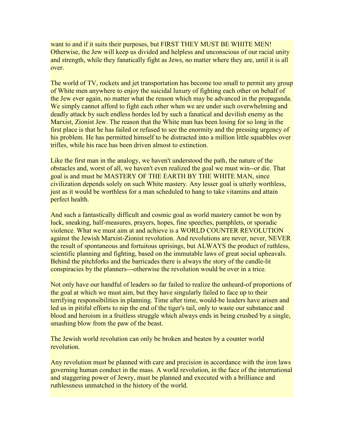want to and if it suits their purposes, but FIRST THEY MUST BE WHITE MEN! Otherwise, the Jew will keep us divided and helpless and unconscious of our racial unity and strength, while they fanatically fight as Jews, no matter where they are, until it is all over.

The world of TV, rockets and jet transportation has become too small to permit any group of White men anywhere to enjoy the suicidal luxury of fighting each other on behalf of the Jew ever again, no matter what the reason which may be advanced in the propaganda. We simply cannot afford to fight each other when we are under such overwhelming and deadly attack by such endless hordes led by such a fanatical and devilish enemy as the Marxist, Zionist Jew. The reason that the White man has been losing for so long in the first place is that he has failed or refused to see the enormity and the pressing urgency of his problem. He has permitted himself to be distracted into a million little squabbles over trifles, while his race has been driven almost to extinction.

Like the first man in the analogy, we haven't understood the path, the nature of the obstacles and, worst of all, we haven't even realized the goal we must win--or die. That goal is and must be MASTERY OF THE EARTH BY THE WHITE MAN, since civilization depends solely on such White mastery. Any lesser goal is utterly worthless, just as it would be worthless for a man scheduled to hang to take vitamins and attain perfect health.

And such a fantastically difficult and cosmic goal as world mastery cannot be won by luck, sneaking, half-measures, prayers, hopes, fine speeches, pamphlets, or sporadic violence. What we must aim at and achieve is a WORLD COUNTER REVOLUTION against the Jewish Marxist-Zionist revolution. And revolutions are never, never, NEVER the result of spontaneous and fortuitous uprisings, but ALWAYS the product of ruthless, scientific planning and fighting, based on the immutable laws of great social upheavals. Behind the pitchforks and the barricades there is always the story of the candle-lit conspiracies by the planners---otherwise the revolution would be over in a trice.

Not only have our handful of leaders so far failed to realize the unheard-of proportions of the goal at which we must aim, but they have singularly failed to face up to their terrifying responsibilities in planning. Time after time, would-be leaders have arisen and led us in pitiful efforts to nip the end of the tiger's tail, only to waste our substance and blood and heroism in a fruitless struggle which always ends in being crushed by a single, smashing blow from the paw of the beast.

The Jewish world revolution can only be broken and beaten by a counter world revolution.

Any revolution must be planned with care and precision in accordance with the iron laws governing human conduct in the mass. A world revolution, in the face of the international and staggering power of Jewry, must be planned and executed with a brilliance and ruthlessness unmatched in the history of the world.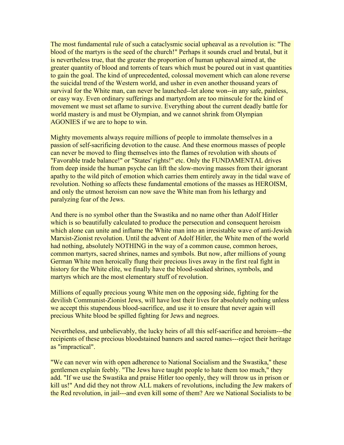The most fundamental rule of such a cataclysmic social upheaval as a revolution is: "The blood of the martyrs is the seed of the church!" Perhaps it sounds cruel and brutal, but it is nevertheless true, that the greater the proportion of human upheaval aimed at, the greater quantity of blood and torrents of tears which must be poured out in vast quantities to gain the goal. The kind of unprecedented, colossal movement which can alone reverse the suicidal trend of the Western world, and usher in even another thousand years of survival for the White man, can never be launched--let alone won--in any safe, painless, or easy way. Even ordinary sufferings and martyrdom are too minscule for the kind of movement we must set aflame to survive. Everything about the current deadly battle for world mastery is and must be Olympian, and we cannot shrink from Olympian AGONIES if we are to hope to win.

Mighty movements always require millions of people to immolate themselves in a passion of self-sacrificing devotion to the cause. And these enormous masses of people can never be moved to fling themselves into the flames of revolution with shouts of "Favorable trade balance!" or "States' rights!" etc. Only the FUNDAMENTAL drives from deep inside the human psyche can lift the slow-moving masses from their ignorant apathy to the wild pitch of emotion which carries them entirely away in the tidal wave of revolution. Nothing so affects these fundamental emotions of the masses as HEROISM, and only the utmost heroism can now save the White man from his lethargy and paralyzing fear of the Jews.

And there is no symbol other than the Swastika and no name other than Adolf Hitler which is so beautifully calculated to produce the persecution and consequent heroism which alone can unite and inflame the White man into an irresistable wave of anti-Jewish Marxist-Zionist revolution. Until the advent of Adolf Hitler, the White men of the world had nothing, absolutely NOTHING in the way of a common cause, common heroes, common martyrs, sacred shrines, names and symbols. But now, after millions of young German White men heroically flung their precious lives away in the first real fight in history for the White elite, we finally have the blood-soaked shrines, symbols, and martyrs which are the most elementary stuff of revolution.

Millions of equally precious young White men on the opposing side, fighting for the devilish Communist-Zionist Jews, will have lost their lives for absolutely nothing unless we accept this stupendous blood-sacrifice, and use it to ensure that never again will precious White blood be spilled fighting for Jews and negroes.

Nevertheless, and unbelievably, the lucky heirs of all this self-sacrifice and heroism---the recipients of these precious bloodstained banners and sacred names---reject their heritage as "impractical".

"We can never win with open adherence to National Socialism and the Swastika," these gentlemen explain feebly. "The Jews have taught people to hate them too much," they add. "If we use the Swastika and praise Hitler too openly, they will throw us in prison or kill us!" And did they not throw ALL makers of revolutions, including the Jew makers of the Red revolution, in jail---and even kill some of them? Are we National Socialists to be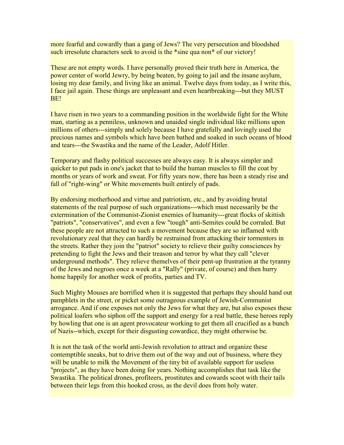more fearful and cowardly than a gang of Jews? The very persecution and bloodshed such irresolute characters seek to avoid is the \*sine qua non\* of our victory!

These are not empty words. I have personally proved their truth here in America, the power center of world Jewry, by being beaten, by going to jail and the insane asylum, losing my dear family, and living like an animal. Twelve days from today, as I write this, I face jail again. These things are unpleasant and even heartbreaking---but they MUST BE!

I have risen in two years to a commanding position in the worldwide fight for the White man, starting as a penniless, unknown and unaided single individual like millions upon millions of others---simply and solely because I have gratefully and lovingly used the precious names and symbols which have been bathed and soaked in such oceans of blood and tears---the Swastika and the name of the Leader, Adolf Hitler.

Temporary and flashy political successes are always easy. It is always simpler and quicker to put pads in one's jacket that to build the human muscles to fill the coat by months or years of work and sweat. For fifty years now, there has been a steady rise and fall of "right-wing" or White movements built entirely of pads.

By endorsing motherhood and virtue and patriotism, etc., and by avoiding brutal statements of the real purpose of such organizations---which must necessarily be the extermination of the Communist-Zionist enemies of humanity---great flocks of skittish "patriots", "conservatives", and even a few "tough" anti-Semites could be corraled. But these people are not attracted to such a movement because they are so inflamed with revolutionary zeal that they can hardly be restrained from attacking their tormentors in the streets. Rather they join the "patriot" society to relieve their guilty consciences by pretending to fight the Jews and their treason and terror by what they call "clever underground methods". They relieve themelves of their pent-up frustration at the tyranny of the Jews and negroes once a week at a "Rally" (private, of course) and then hurry home happily for another week of profits, parties and TV.

Such Mighty Mouses are horrified when it is suggested that perhaps they should hand out pamphlets in the street, or picket some outrageous example of Jewish-Communist arrogance. And if one exposes not only the Jews for what they are, but also exposes these political loafers who siphon off the support and energy for a real battle, these heroes reply by howling that one is an agent provocateur working to get them all crucified as a bunch of Nazis--which, except for their disgusting cowardice, they might otherwise be.

It is not the task of the world anti-Jewish revolution to attract and organize these contemptible sneaks, but to drive them out of the way and out of business, where they will be unable to milk the Movement of the tiny bit of available support for useless "projects", as they have been doing for years. Nothing accomplishes that task like the Swastika. The political drones, profiteers, prostitutes and cowards scoot with their tails between their legs from this hooked cross, as the devil does from holy water.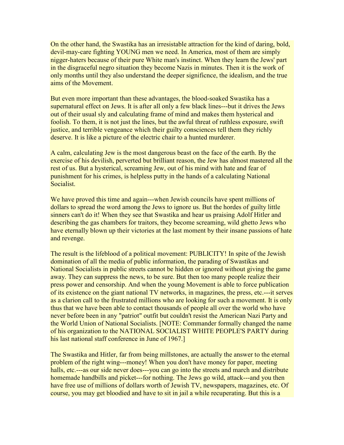On the other hand, the Swastika has an irresistable attraction for the kind of daring, bold, devil-may-care fighting YOUNG men we need. In America, most of them are simply nigger-haters because of their pure White man's instinct. When they learn the Jews' part in the disgraceful negro situation they become Nazis in minutes. Then it is the work of only months until they also understand the deeper significnce, the idealism, and the true aims of the Movement.

But even more important than these advantages, the blood-soaked Swastika has a supernatural effect on Jews. It is after all only a few black lines---but it drives the Jews out of their usual sly and calculating frame of mind and makes them hysterical and foolish. To them, it is not just the lines, but the awful threat of ruthless exposure, swift justice, and terrible vengeance which their guilty consciences tell them they richly deserve. It is like a picture of the electric chair to a hunted murderer.

A calm, calculating Jew is the most dangerous beast on the face of the earth. By the exercise of his devilish, perverted but brilliant reason, the Jew has almost mastered all the rest of us. But a hysterical, screaming Jew, out of his mind with hate and fear of punishment for his crimes, is helpless putty in the hands of a calculating National Socialist.

We have proved this time and again---when Jewish councils have spent millions of dollars to spread the word among the Jews to ignore us. But the hordes of guilty little sinners can't do it! When they see that Swastika and hear us praising Adolf Hitler and describing the gas chambers for traitors, they become screaming, wild ghetto Jews who have eternally blown up their victories at the last moment by their insane passions of hate and revenge.

The result is the lifeblood of a political movement: PUBLICITY! In spite of the Jewish domination of all the media of public information, the parading of Swastikas and National Socialists in public streets cannot be hidden or ignored without giving the game away. They can suppress the news, to be sure. But then too many people realize their press power and censorship. And when the young Movement is able to force publication of its existence on the giant national TV networks, in magazines, the press, etc.---it serves as a clarion call to the frustrated millions who are looking for such a movement. It is only thus that we have been able to contact thousands of people all over the world who have never before been in any "patriot" outfit but couldn't resist the American Nazi Party and the World Union of National Socialists. [NOTE: Commander formally changed the name of his organization to the NATIONAL SOCIALIST WHITE PEOPLE'S PARTY during his last national staff conference in June of 1967.

The Swastika and Hitler, far from being millstones, are actually the answer to the eternal problem of the right wing---money! When you don't have money for paper, meeting halls, etc.---as our side never does---you can go into the streets and march and distribute homemade handbills and picket---for nothing. The Jews go wild, attack---and you then have free use of millions of dollars worth of Jewish TV, newspapers, magazines, etc. Of course, you may get bloodied and have to sit in jail a while recuperating. But this is a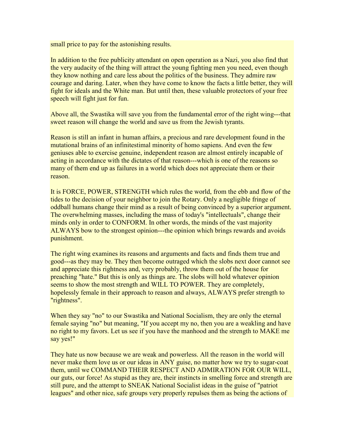small price to pay for the astonishing results.

In addition to the free publicity attendant on open operation as a Nazi, you also find that the very audacity of the thing will attract the young fighting men you need, even though they know nothing and care less about the politics of the business. They admire raw courage and daring. Later, when they have come to know the facts a little better, they will fight for ideals and the White man. But until then, these valuable protectors of your free speech will fight just for fun.

Above all, the Swastika will save you from the fundamental error of the right wing---that sweet reason will change the world and save us from the Jewish tyrants.

Reason is still an infant in human affairs, a precious and rare development found in the mutational brains of an infinitestimal minority of homo sapiens. And even the few geniuses able to exercise genuine, independent reason are almost entirely incapable of acting in accordance with the dictates of that reason---which is one of the reasons so many of them end up as failures in a world which does not appreciate them or their reason.

It is FORCE, POWER, STRENGTH which rules the world, from the ebb and flow of the tides to the decision of your neighbor to join the Rotary. Only a negligible fringe of oddball humans change their mind as a result of being convinced by a superior argument. The overwhelming masses, including the mass of today's "intellectuals", change their minds only in order to CONFORM. In other words, the minds of the vast majority ALWAYS bow to the strongest opinion---the opinion which brings rewards and avoids punishment.

The right wing examines its reasons and arguments and facts and finds them true and good---as they may be. They then become outraged which the slobs next door cannot see and appreciate this rightness and, very probably, throw them out of the house for preaching "hate." But this is only as things are. The slobs will hold whatever opinion seems to show the most strength and WILL TO POWER. They are completely, hopelessly female in their approach to reason and always, ALWAYS prefer strength to "rightness".

When they say "no" to our Swastika and National Socialism, they are only the eternal female saying "no" but meaning, "If you accept my no, then you are a weakling and have no right to my favors. Let us see if you have the manhood and the strength to MAKE me say yes!"

They hate us now because we are weak and powerless. All the reason in the world will never make them love us or our ideas in ANY guise, no matter how we try to sugar-coat them, until we COMMAND THEIR RESPECT AND ADMIRATION FOR OUR WILL, our guts, our force! As stupid as they are, their instincts in smelling force and strength are still pure, and the attempt to SNEAK National Socialist ideas in the guise of "patriot leagues" and other nice, safe groups very properly repulses them as being the actions of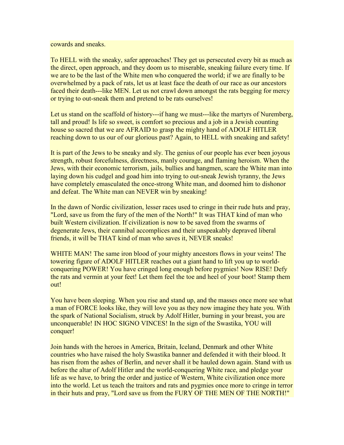cowards and sneaks.

To HELL with the sneaky, safer approaches! They get us persecuted every bit as much as the direct, open approach, and they doom us to miserable, sneaking failure every time. If we are to be the last of the White men who conquered the world; if we are finally to be overwhelmed by a pack of rats, let us at least face the death of our race as our ancestors faced their death---like MEN. Let us not crawl down amongst the rats begging for mercy or trying to out-sneak them and pretend to be rats ourselves!

Let us stand on the scaffold of history---if hang we must---like the martyrs of Nuremberg, tall and proud! Is life so sweet, is comfort so precious and a job in a Jewish counting house so sacred that we are AFRAID to grasp the mighty hand of ADOLF HITLER reaching down to us our of our glorious past? Again, to HELL with sneaking and safety!

It is part of the Jews to be sneaky and sly. The genius of our people has ever been joyous strength, robust forcefulness, directness, manly courage, and flaming heroism. When the Jews, with their economic terrorism, jails, bullies and hangmen, scare the White man into laying down his cudgel and goad him into trying to out-sneak Jewish tyranny, the Jews have completely emasculated the once-strong White man, and doomed him to dishonor and defeat. The White man can NEVER win by sneaking!

In the dawn of Nordic civilization, lesser races used to cringe in their rude huts and pray, "Lord, save us from the fury of the men of the North!" It was THAT kind of man who built Western civilization. If civilization is now to be saved from the swarms of degenerate Jews, their cannibal accomplices and their unspeakably depraved liberal friends, it will be THAT kind of man who saves it, NEVER sneaks!

WHITE MAN! The same iron blood of your mighty ancestors flows in your veins! The towering figure of ADOLF HITLER reaches out a giant hand to lift you up to worldconquering POWER! You have cringed long enough before pygmies! Now RISE! Defy the rats and vermin at your feet! Let them feel the toe and heel of your boot! Stamp them out!

You have been sleeping. When you rise and stand up, and the masses once more see what a man of FORCE looks like, they will love you as they now imagine they hate you. With the spark of National Socialism, struck by Adolf Hitler, burning in your breast, you are unconquerable! IN HOC SIGNO VINCES! In the sign of the Swastika, YOU will conquer!

Join hands with the heroes in America, Britain, Iceland, Denmark and other White countries who have raised the holy Swastika banner and defended it with their blood. It has risen from the ashes of Berlin, and never shall it be hauled down again. Stand with us before the altar of Adolf Hitler and the world-conquering White race, and pledge your life as we have, to bring the order and justice of Western, White civilization once more into the world. Let us teach the traitors and rats and pygmies once more to cringe in terror in their huts and pray, "Lord save us from the FURY OF THE MEN OF THE NORTH!"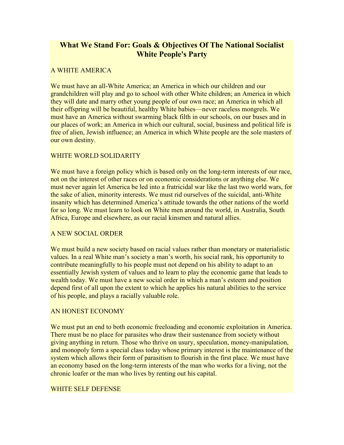# <span id="page-12-0"></span>**What We Stand For: Goals & Objectives Of The National Socialist White People's Party**

#### A WHITE AMERICA

We must have an all-White America; an America in which our children and our grandchildren will play and go to school with other White children; an America in which they will date and marry other young people of our own race; an America in which all their offspring will be beautiful, healthy White babies—never raceless mongrels. We must have an America without swarming black filth in our schools, on our buses and in our places of work; an America in which our cultural, social, business and political life is free of alien, Jewish influence; an America in which White people are the sole masters of our own destiny.

#### WHITE WORLD SOLIDARITY

We must have a foreign policy which is based only on the long-term interests of our race, not on the interest of other races or on economic considerations or anything else. We must never again let America be led into a fratricidal war like the last two world wars, for the sake of alien, minority interests. We must rid ourselves of the suicidal, anti-White insanity which has determined America's attitude towards the other nations of the world for so long. We must learn to look on White men around the world, in Australia, South Africa, Europe and elsewhere, as our racial kinsmen and natural allies.

#### A NEW SOCIAL ORDER

We must build a new society based on racial values rather than monetary or materialistic values. In a real White man's society a man's worth, his social rank, his opportunity to contribute meaningfully to his people must not depend on his ability to adapt to an essentially Jewish system of values and to learn to play the economic game that leads to wealth today. We must have a new social order in which a man's esteem and position depend first of all upon the extent to which he applies his natural abilities to the service of his people, and plays a racially valuable role.

#### AN HONEST ECONOMY

We must put an end to both economic freeloading and economic exploitation in America. There must be no place for parasites who draw their sustenance from society without giving anything in return. Those who thrive on usury, speculation, money-manipulation, and monopoly form a special class today whose primary interest is the maintenance of the system which allows their form of parasitism to flourish in the first place. We must have an economy based on the long-term interests of the man who works for a living, not the chronic loafer or the man who lives by renting out his capital.

#### WHITE SELF DEFENSE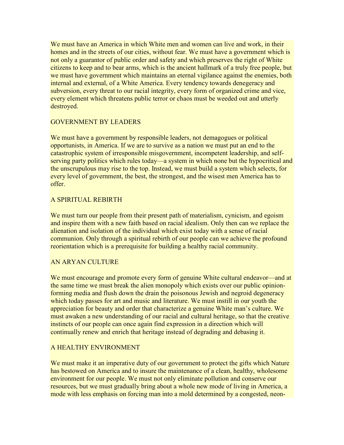We must have an America in which White men and women can live and work, in their homes and in the streets of our cities, without fear. We must have a government which is not only a guarantor of public order and safety and which preserves the right of White citizens to keep and to bear arms, which is the ancient hallmark of a truly free people, but we must have government which maintains an eternal vigilance against the enemies, both internal and external, of a White America. Every tendency towards denegeracy and subversion, every threat to our racial integrity, every form of organized crime and vice, every element which threatens public terror or chaos must be weeded out and utterly destroyed.

#### GOVERNMENT BY LEADERS

We must have a government by responsible leaders, not demagogues or political opportunists, in America. If we are to survive as a nation we must put an end to the catastrophic system of irresponsible misgovernment, incompetent leadership, and selfserving party politics which rules today—a system in which none but the hypocritical and the unscrupulous may rise to the top. Instead, we must build a system which selects, for every level of government, the best, the strongest, and the wisest men America has to offer.

#### A SPIRITUAL REBIRTH

We must turn our people from their present path of materialism, cynicism, and egoism and inspire them with a new faith based on racial idealism. Only then can we replace the alienation and isolation of the individual which exist today with a sense of racial communion. Only through a spiritual rebirth of our people can we achieve the profound reorientation which is a prerequisite for building a healthy racial community.

#### AN ARYAN CULTURE

We must encourage and promote every form of genuine White cultural endeavor—and at the same time we must break the alien monopoly which exists over our public opinionforming media and flush down the drain the poisonous Jewish and negroid degeneracy which today passes for art and music and literature. We must instill in our youth the appreciation for beauty and order that characterize a genuine White man's culture. We must awaken a new understanding of our racial and cultural heritage, so that the creative instincts of our people can once again find expression in a direction which will continually renew and enrich that heritage instead of degrading and debasing it.

#### A HEALTHY ENVIRONMENT

We must make it an imperative duty of our government to protect the gifts which Nature has bestowed on America and to insure the maintenance of a clean, healthy, wholesome environment for our people. We must not only eliminate pollution and conserve our resources, but we must gradually bring about a whole new mode of living in America, a mode with less emphasis on forcing man into a mold determined by a congested, neon-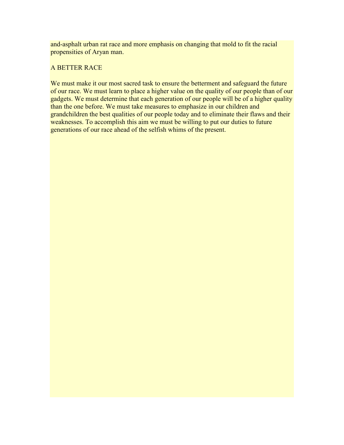and-asphalt urban rat race and more emphasis on changing that mold to fit the racial propensities of Aryan man.

#### A BETTER RACE

We must make it our most sacred task to ensure the betterment and safeguard the future of our race. We must learn to place a higher value on the quality of our people than of our gadgets. We must determine that each generation of our people will be of a higher quality than the one before. We must take measures to emphasize in our children and grandchildren the best qualities of our people today and to eliminate their flaws and their weaknesses. To accomplish this aim we must be willing to put our duties to future generations of our race ahead of the selfish whims of the present.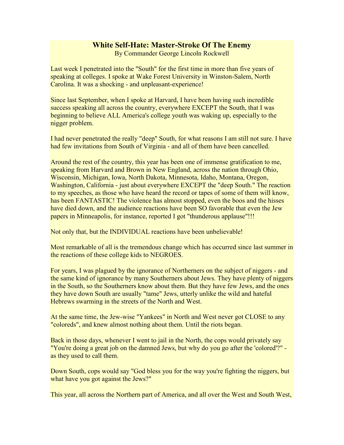#### **White Self-Hate: Master-Stroke Of The Enemy**

By Commander George Lincoln Rockwell

<span id="page-15-0"></span>Last week I penetrated into the "South" for the first time in more than five years of speaking at colleges. I spoke at Wake Forest University in Winston-Salem, North Carolina. It was a shocking - and unpleasant-experience!

Since last September, when I spoke at Harvard, I have been having such incredible success speaking all across the country, everywhere EXCEPT the South, that I was beginning to believe ALL America's college youth was waking up, especially to the nigger problem.

I had never penetrated the really "deep" South, for what reasons I am still not sure. I have had few invitations from South of Virginia - and all of them have been cancelled.

Around the rest of the country, this year has been one of immense gratification to me, speaking from Harvard and Brown in New England, across the nation through Ohio, Wisconsin, Michigan, Iowa, North Dakota, Minnesota, Idaho, Montana, Oregon, Washington, California - just about everywhere EXCEPT the "deep South." The reaction to my speeches, as those who have heard the record or tapes of some of them will know, has been FANTASTIC! The violence has almost stopped, even the boos and the hisses have died down, and the audience reactions have been SO favorable that even the Jew papers in Minneapolis, for instance, reported I got "thunderous applause"!!!

Not only that, but the INDIVIDUAL reactions have been unbelievable!

Most remarkable of all is the tremendous change which has occurred since last summer in the reactions of these college kids to NEGROES.

For years, I was plagued by the ignorance of Northerners on the subject of niggers - and the same kind of ignorance by many Southerners about Jews. They have plenty of niggers in the South, so the Southerners know about them. But they have few Jews, and the ones they have down South are usually "tame" Jews, utterly unlike the wild and hateful Hebrews swarming in the streets of the North and West.

At the same time, the Jew-wise "Yankees" in North and West never got CLOSE to any "coloreds", and knew almost nothing about them. Until the riots began.

Back in those days, whenever I went to jail in the North, the cops would privately say "You're doing a great job on the damned Jews, but why do you go after the 'colored'?" as they used to call them.

Down South, cops would say "God bless you for the way you're fighting the niggers, but what have you got against the Jews?"

This year, all across the Northern part of America, and all over the West and South West,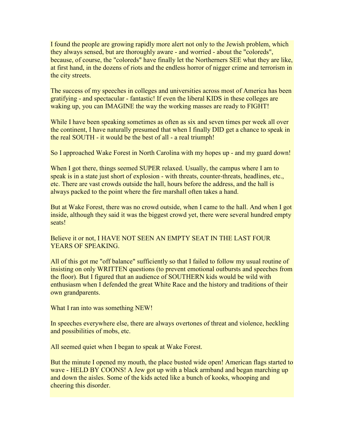I found the people are growing rapidly more alert not only to the Jewish problem, which they always sensed, but are thoroughly aware - and worried - about the "coloreds", because, of course, the "coloreds" have finally let the Northerners SEE what they are like, at first hand, in the dozens of riots and the endless horror of nigger crime and terrorism in the city streets.

The success of my speeches in colleges and universities across most of America has been gratifying - and spectacular - fantastic! If even the liberal KIDS in these colleges are waking up, you can IMAGINE the way the working masses are ready to FIGHT!

While I have been speaking sometimes as often as six and seven times per week all over the continent, I have naturally presumed that when I finally DID get a chance to speak in the real SOUTH - it would be the best of all - a real triumph!

So I approached Wake Forest in North Carolina with my hopes up - and my guard down!

When I got there, things seemed SUPER relaxed. Usually, the campus where I am to speak is in a state just short of explosion - with threats, counter-threats, headlines, etc., etc. There are vast crowds outside the hall, hours before the address, and the hall is always packed to the point where the fire marshall often takes a hand.

But at Wake Forest, there was no crowd outside, when I came to the hall. And when I got inside, although they said it was the biggest crowd yet, there were several hundred empty seats!

Believe it or not, I HAVE NOT SEEN AN EMPTY SEAT IN THE LAST FOUR YEARS OF SPEAKING.

All of this got me "off balance" sufficiently so that I failed to follow my usual routine of insisting on only WRITTEN questions (to prevent emotional outbursts and speeches from the floor). But I figured that an audience of SOUTHERN kids would be wild with enthusiasm when I defended the great White Race and the history and traditions of their own grandparents.

What I ran into was something NEW!

In speeches everywhere else, there are always overtones of threat and violence, heckling and possibilities of mobs, etc.

All seemed quiet when I began to speak at Wake Forest.

But the minute I opened my mouth, the place busted wide open! American flags started to wave - HELD BY COONS! A Jew got up with a black armband and began marching up and down the aisles. Some of the kids acted like a bunch of kooks, whooping and cheering this disorder.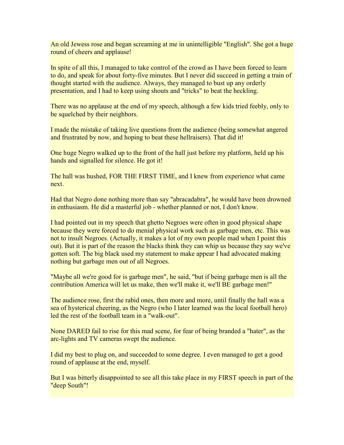An old Jewess rose and began screaming at me in unintelligible "English". She got a huge round of cheers and applause!

In spite of all this, I managed to take control of the crowd as I have been forced to learn to do, and speak for about forty-five minutes. But I never did succeed in getting a train of thought started with the audience. Always, they managed to bust up any orderly presentation, and I had to keep using shouts and "tricks" to beat the heckling.

There was no applause at the end of my speech, although a few kids tried feebly, only to be squelched by their neighbors.

I made the mistake of taking live questions from the audience (being somewhat angered and frustrated by now, and hoping to beat these hellraisers). That did it!

One huge Negro walked up to the front of the hall just before my platform, held up his hands and signalled for silence. He got it!

The hall was hushed, FOR THE FIRST TIME, and I knew from experience what came next.

Had that Negro done nothing more than say "abracadabra", he would have been drowned in enthusiasm. He did a masterful job - whether planned or not, I don't know.

I had pointed out in my speech that ghetto Negroes were often in good physical shape because they were forced to do menial physical work such as garbage men, etc. This was not to insult Negroes. (Actually, it makes a lot of my own people mad when I point this out). But it is part of the reason the blacks think they can whip us because they say we've gotten soft. The big black used my statement to make appear I had advocated making nothing but garbage men out of all Negroes.

"Maybe all we're good for is garbage men", he said, "but if being garbage men is all the contribution America will let us make, then we'll make it, we'll BE garbage men!"

The audience rose, first the rabid ones, then more and more, until finally the hall was a sea of hysterical cheering, as the Negro (who I later learned was the local football hero) led the rest of the football team in a "walk-out".

None DARED fail to rise for this mad scene, for fear of being branded a "hater", as the arc-lights and TV cameras swept the audience.

I did my best to plug on, and succeeded to some degree. I even managed to get a good round of applause at the end, myself.

But I was bitterly disappointed to see all this take place in my FIRST speech in part of the "deep South"!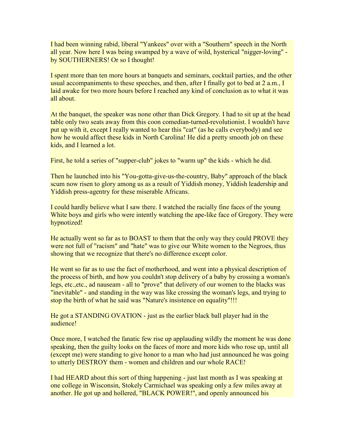I had been winning rabid, liberal "Yankees" over with a "Southern" speech in the North all year. Now here I was being swamped by a wave of wild, hysterical "nigger-loving" by SOUTHERNERS! Or so I thought!

I spent more than ten more hours at banquets and seminars, cocktail parties, and the other usual accompaniments to these speeches, and then, after I finally got to bed at 2 a.m., I laid awake for two more hours before I reached any kind of conclusion as to what it was all about.

At the banquet, the speaker was none other than Dick Gregory. I had to sit up at the head table only two seats away from this coon comedian-turned-revolutionist. I wouldn't have put up with it, except I really wanted to hear this "cat" (as he calls everybody) and see how he would affect these kids in North Carolina! He did a pretty smooth job on these kids, and I learned a lot.

First, he told a series of "supper-club" jokes to "warm up" the kids - which he did.

Then he launched into his "You-gotta-give-us-the-country, Baby" approach of the black scum now risen to glory among us as a result of Yiddish money, Yiddish leadership and Yiddish press-agentry for these miserable Africans.

I could hardly believe what I saw there. I watched the racially fine faces of the young White boys and girls who were intently watching the ape-like face of Gregory. They were hypnotized!

He actually went so far as to BOAST to them that the only way they could PROVE they were not full of "racism" and "hate" was to give our White women to the Negroes, thus showing that we recognize that there's no difference except color.

He went so far as to use the fact of motherhood, and went into a physical description of the process of birth, and how you couldn't stop delivery of a baby by crossing a woman's legs, etc.,etc., ad nauseam - all to "prove" that delivery of our women to the blacks was "inevitable" - and standing in the way was like crossing the woman's legs, and trying to stop the birth of what he said was "Nature's insistence on equality"!!!

He got a STANDING OVATION - just as the earlier black ball player had in the audience!

Once more, I watched the fanatic few rise up applauding wildly the moment he was done speaking, then the guilty looks on the faces of more and more kids who rose up, until all (except me) were standing to give honor to a man who had just announced he was going to utterly DESTROY them - women and children and our whole RACE!

I had HEARD about this sort of thing happening - just last month as I was speaking at one college in Wisconsin, Stokely Carmichael was speaking only a few miles away at another. He got up and hollered, "BLACK POWER!", and openly announced his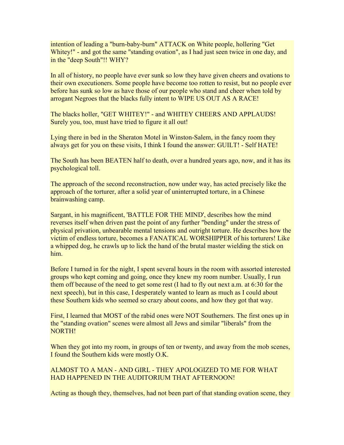intention of leading a "burn-baby-burn" ATTACK on White people, hollering "Get Whitey!" - and got the same "standing ovation", as I had just seen twice in one day, and in the "deep South"!! WHY?

In all of history, no people have ever sunk so low they have given cheers and ovations to their own executioners. Some people have become too rotten to resist, but no people ever before has sunk so low as have those of our people who stand and cheer when told by arrogant Negroes that the blacks fully intent to WIPE US OUT AS A RACE!

The blacks holler, "GET WHITEY!" - and WHITEY CHEERS AND APPLAUDS! Surely you, too, must have tried to figure it all out!

Lying there in bed in the Sheraton Motel in Winston-Salem, in the fancy room they always get for you on these visits, I think I found the answer: GUILT! - Self HATE!

The South has been BEATEN half to death, over a hundred years ago, now, and it has its psychological toll.

The approach of the second reconstruction, now under way, has acted precisely like the approach of the torturer, after a solid year of uninterrupted torture, in a Chinese brainwashing camp.

Sargant, in his magnificent, 'BATTLE FOR THE MIND', describes how the mind reverses itself when driven past the point of any further "bending" under the stress of physical privation, unbearable mental tensions and outright torture. He describes how the victim of endless torture, becomes a FANATICAL WORSHIPPER of his torturers! Like a whipped dog, he crawls up to lick the hand of the brutal master wielding the stick on him.

Before I turned in for the night, I spent several hours in the room with assorted interested groups who kept coming and going, once they knew my room number. Usually, I run them off because of the need to get some rest (I had to fly out next a.m. at 6:30 for the next speech), but in this case, I desperately wanted to learn as much as I could about these Southern kids who seemed so crazy about coons, and how they got that way.

First, I learned that MOST of the rabid ones were NOT Southerners. The first ones up in the "standing ovation" scenes were almost all Jews and similar "liberals" from the NORTH!

When they got into my room, in groups of ten or twenty, and away from the mob scenes, I found the Southern kids were mostly O.K.

ALMOST TO A MAN - AND GIRL - THEY APOLOGIZED TO ME FOR WHAT HAD HAPPENED IN THE AUDITORIUM THAT AFTERNOON!

Acting as though they, themselves, had not been part of that standing ovation scene, they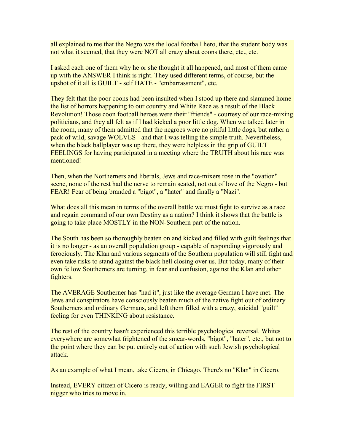all explained to me that the Negro was the local football hero, that the student body was not what it seemed, that they were NOT all crazy about coons there, etc., etc.

I asked each one of them why he or she thought it all happened, and most of them came up with the ANSWER I think is right. They used different terms, of course, but the upshot of it all is GUILT - self HATE - "embarrassment", etc.

They felt that the poor coons had been insulted when I stood up there and slammed home the list of horrors happening to our country and White Race as a result of the Black Revolution! Those coon football heroes were their "friends" - courtesy of our race-mixing politicians, and they all felt as if I had kicked a poor little dog. When we talked later in the room, many of them admitted that the negroes were no pitiful little dogs, but rather a pack of wild, savage WOLVES - and that I was telling the simple truth. Nevertheless, when the black ballplayer was up there, they were helpless in the grip of GUILT FEELINGS for having participated in a meeting where the TRUTH about his race was mentioned!

Then, when the Northerners and liberals, Jews and race-mixers rose in the "ovation" scene, none of the rest had the nerve to remain seated, not out of love of the Negro - but FEAR! Fear of being branded a "bigot", a "hater" and finally a "Nazi".

What does all this mean in terms of the overall battle we must fight to survive as a race and regain command of our own Destiny as a nation? I think it shows that the battle is going to take place MOSTLY in the NON-Southern part of the nation.

The South has been so thoroughly beaten on and kicked and filled with guilt feelings that it is no longer - as an overall population group - capable of responding vigorously and ferociously. The Klan and various segments of the Southern population will still fight and even take risks to stand against the black hell closing over us. But today, many of their own fellow Southerners are turning, in fear and confusion, against the Klan and other fighters.

The AVERAGE Southerner has "had it", just like the average German I have met. The Jews and conspirators have consciously beaten much of the native fight out of ordinary Southerners and ordinary Germans, and left them filled with a crazy, suicidal "guilt" feeling for even THINKING about resistance.

The rest of the country hasn't experienced this terrible psychological reversal. Whites everywhere are somewhat frightened of the smear-words, "bigot", "hater", etc., but not to the point where they can be put entirely out of action with such Jewish psychological attack.

As an example of what I mean, take Cicero, in Chicago. There's no "Klan" in Cicero.

Instead, EVERY citizen of Cicero is ready, willing and EAGER to fight the FIRST nigger who tries to move in.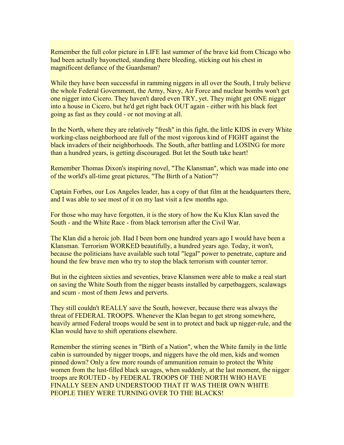Remember the full color picture in LIFE last summer of the brave kid from Chicago who had been actually bayonetted, standing there bleeding, sticking out his chest in magnificent defiance of the Guardsman?

While they have been successful in ramming niggers in all over the South, I truly believe the whole Federal Government, the Army, Navy, Air Force and nuclear bombs won't get one nigger into Cicero. They haven't dared even TRY, yet. They might get ONE nigger into a house in Cicero, but he'd get right back OUT again - either with his black feet going as fast as they could - or not moving at all.

In the North, where they are relatively "fresh" in this fight, the little KIDS in every White working-class neighborhood are full of the most vigorous kind of FIGHT against the black invaders of their neighborhoods. The South, after battling and LOSING for more than a hundred years, is getting discouraged. But let the South take heart!

Remember Thomas Dixon's inspiring novel, "The Klansman", which was made into one of the world's all-time great pictures, "The Birth of a Nation"?

Captain Forbes, our Los Angeles leader, has a copy of that film at the headquarters there, and I was able to see most of it on my last visit a few months ago.

For those who may have forgotten, it is the story of how the Ku Klux Klan saved the South - and the White Race - from black terrorism after the Civil War.

The Klan did a heroic job. Had I been born one hundred years ago I would have been a Klansman. Terrorism WORKED beautifully, a hundred years ago. Today, it won't, because the politicians have available such total "legal" power to penetrate, capture and hound the few brave men who try to stop the black terrorism with counter terror.

But in the eighteen sixties and seventies, brave Klansmen were able to make a real start on saving the White South from the nigger beasts installed by carpetbaggers, scalawags and scum - most of them Jews and perverts.

They still couldn't REALLY save the South, however, because there was always the threat of FEDERAL TROOPS. Whenever the Klan began to get strong somewhere, heavily armed Federal troops would be sent in to protect and back up nigger-rule, and the Klan would have to shift operations elsewhere.

Remember the stirring scenes in "Birth of a Nation", when the White family in the little cabin is surrounded by nigger troops, and niggers have the old men, kids and women pinned down? Only a few more rounds of ammunition remain to protect the White women from the lust-filled black savages, when suddenly, at the last moment, the nigger troops are ROUTED - by FEDERAL TROOPS OF THE NORTH WHO HAVE FINALLY SEEN AND UNDERSTOOD THAT IT WAS THEIR OWN WHITE PEOPLE THEY WERE TURNING OVER TO THE BLACKS!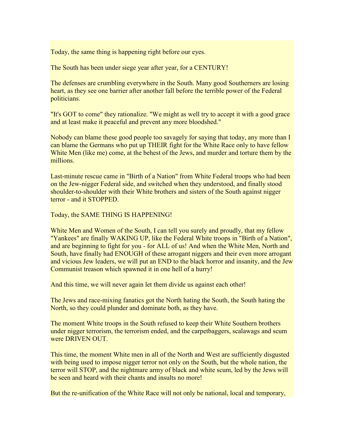Today, the same thing is happening right before our eyes.

The South has been under siege year after year, for a CENTURY!

The defenses are crumbling everywhere in the South. Many good Southerners are losing heart, as they see one barrier after another fall before the terrible power of the Federal politicians.

"It's GOT to come" they rationalize. "We might as well try to accept it with a good grace and at least make it peaceful and prevent any more bloodshed."

Nobody can blame these good people too savagely for saying that today, any more than I can blame the Germans who put up THEIR fight for the White Race only to have fellow White Men (like me) come, at the behest of the Jews, and murder and torture them by the millions.

Last-minute rescue came in "Birth of a Nation" from White Federal troops who had been on the Jew-nigger Federal side, and switched when they understood, and finally stood shoulder-to-shoulder with their White brothers and sisters of the South against nigger terror - and it STOPPED.

Today, the SAME THING IS HAPPENING!

White Men and Women of the South, I can tell you surely and proudly, that my fellow "Yankees" are finally WAKING UP, like the Federal White troops in "Birth of a Nation", and are beginning to fight for you - for ALL of us! And when the White Men, North and South, have finally had ENOUGH of these arrogant niggers and their even more arrogant and vicious Jew leaders, we will put an END to the black horror and insanity, and the Jew Communist treason which spawned it in one hell of a hurry!

And this time, we will never again let them divide us against each other!

The Jews and race-mixing fanatics got the North hating the South, the South hating the North, so they could plunder and dominate both, as they have.

The moment White troops in the South refused to keep their White Southern brothers under nigger terrorism, the terrorism ended, and the carpetbaggers, scalawags and scum were DRIVEN OUT.

This time, the moment White men in all of the North and West are sufficiently disgusted with being used to impose nigger terror not only on the South, but the whole nation, the terror will STOP, and the nightmare army of black and white scum, led by the Jews will be seen and heard with their chants and insults no more!

But the re-unification of the White Race will not only be national, local and temporary,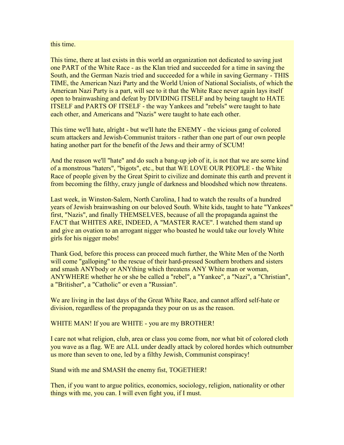#### this time.

This time, there at last exists in this world an organization not dedicated to saving just one PART of the White Race - as the Klan tried and succeeded for a time in saving the South, and the German Nazis tried and succeeded for a while in saving Germany - THIS TIME, the American Nazi Party and the World Union of National Socialists, of which the American Nazi Party is a part, will see to it that the White Race never again lays itself open to brainwashing and defeat by DIVIDING ITSELF and by being taught to HATE ITSELF and PARTS OF ITSELF - the way Yankees and "rebels" were taught to hate each other, and Americans and "Nazis" were taught to hate each other.

This time we'll hate, alright - but we'll hate the ENEMY - the vicious gang of colored scum attackers and Jewish-Communist traitors - rather than one part of our own people hating another part for the benefit of the Jews and their army of SCUM!

And the reason we'll "hate" and do such a bang-up job of it, is not that we are some kind of a monstrous "haters", "bigots", etc., but that WE LOVE OUR PEOPLE - the White Race of people given by the Great Spirit to civilize and dominate this earth and prevent it from becoming the filthy, crazy jungle of darkness and bloodshed which now threatens.

Last week, in Winston-Salem, North Carolina, I had to watch the results of a hundred years of Jewish brainwashing on our beloved South. White kids, taught to hate "Yankees" first, "Nazis", and finally THEMSELVES, because of all the propaganda against the FACT that WHITES ARE, INDEED, A "MASTER RACE". I watched them stand up and give an ovation to an arrogant nigger who boasted he would take our lovely White girls for his nigger mobs!

Thank God, before this process can proceed much further, the White Men of the North will come "galloping" to the rescue of their hard-pressed Southern brothers and sisters and smash ANYbody or ANYthing which threatens ANY White man or woman, ANYWHERE whether he or she be called a "rebel", a "Yankee", a "Nazi", a "Christian", a "Britisher", a "Catholic" or even a "Russian".

We are living in the last days of the Great White Race, and cannot afford self-hate or division, regardless of the propaganda they pour on us as the reason.

WHITE MAN! If you are WHITE - you are my BROTHER!

I care not what religion, club, area or class you come from, nor what bit of colored cloth you wave as a flag. WE are ALL under deadly attack by colored hordes which outnumber us more than seven to one, led by a filthy Jewish, Communist conspiracy!

Stand with me and SMASH the enemy fist, TOGETHER!

Then, if you want to argue politics, economics, sociology, religion, nationality or other things with me, you can. I will even fight you, if I must.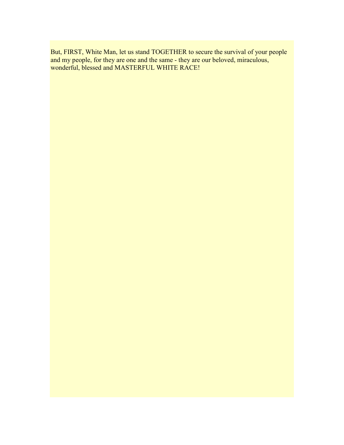But, FIRST, White Man, let us stand TOGETHER to secure the survival of your people and my people, for they are one and the same - they are our beloved, miraculous, wonderful, blessed and MASTERFUL WHITE RACE!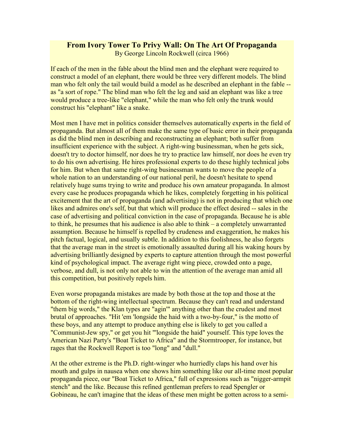# <span id="page-25-0"></span>**From Ivory Tower To Privy Wall: On The Art Of Propaganda**

By George Lincoln Rockwell (circa 1966)

If each of the men in the fable about the blind men and the elephant were required to construct a model of an elephant, there would be three very different models. The blind man who felt only the tail would build a model as he described an elephant in the fable - as "a sort of rope." The blind man who felt the leg and said an elephant was like a tree would produce a tree-like "elephant," while the man who felt only the trunk would construct his "elephant" like a snake.

Most men I have met in politics consider themselves automatically experts in the field of propaganda. But almost all of them make the same type of basic error in their propaganda as did the blind men in describing and reconstructing an elephant; both suffer from insufficient experience with the subject. A right-wing businessman, when he gets sick, doesn't try to doctor himself, nor does he try to practice law himself, nor does he even try to do his own advertising. He hires professional experts to do these highly technical jobs for him. But when that same right-wing businessman wants to move the people of a whole nation to an understanding of our national peril, he doesn't hesitate to spend relatively huge sums trying to write and produce his own amateur propaganda. In almost every case he produces propaganda which he likes, completely forgetting in his political excitement that the art of propaganda (and advertising) is not in producing that which one likes and admires one's self, but that which will produce the effect desired -- sales in the case of advertising and political conviction in the case of propaganda. Because he is able to think, he presumes that his audience is also able to think – a completely unwarranted assumption. Because he himself is repelled by crudeness and exaggeration, he makes his pitch factual, logical, and usually subtle. In addition to this foolishness, he also forgets that the average man in the street is emotionally assaulted during all his waking hours by advertising brilliantly designed by experts to capture attention through the most powerful kind of psychological impact. The average right wing piece, crowded onto a page, verbose, and dull, is not only not able to win the attention of the average man amid all this competition, but positively repels him.

Even worse propaganda mistakes are made by both those at the top and those at the bottom of the right-wing intellectual spectrum. Because they can't read and understand "them big words," the Klan types are "agin'" anything other than the crudest and most brutal of approaches. "Hit 'em 'longside the haid with a two-by-four," is the motto of these boys, and any attempt to produce anything else is likely to get you called a "Communist-Jew spy," or get you hit "'longside the haid" yourself. This type loves the American Nazi Party's "Boat Ticket to Africa" and the Stormtrooper, for instance, but rages that the Rockwell Report is too "long" and "dull."

At the other extreme is the Ph.D. right-winger who hurriedly claps his hand over his mouth and gulps in nausea when one shows him something like our all-time most popular propaganda piece, our "Boat Ticket to Africa," full of expressions such as "nigger-armpit stench" and the like. Because this refined gentleman prefers to read Spengler or Gobineau, he can't imagine that the ideas of these men might be gotten across to a semi-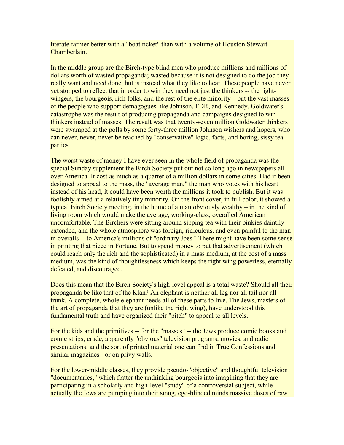literate farmer better with a "boat ticket" than with a volume of Houston Stewart **Chamberlain** 

In the middle group are the Birch-type blind men who produce millions and millions of dollars worth of wasted propaganda; wasted because it is not designed to do the job they really want and need done, but is instead what they like to hear. These people have never yet stopped to reflect that in order to win they need not just the thinkers -- the rightwingers, the bourgeois, rich folks, and the rest of the elite minority – but the vast masses of the people who support demagogues like Johnson, FDR, and Kennedy. Goldwater's catastrophe was the result of producing propaganda and campaigns designed to win thinkers instead of masses. The result was that twenty-seven million Goldwater thinkers were swamped at the polls by some forty-three million Johnson wishers and hopers, who can never, never, never be reached by "conservative" logic, facts, and boring, sissy tea parties.

The worst waste of money I have ever seen in the whole field of propaganda was the special Sunday supplement the Birch Society put out not so long ago in newspapers all over America. It cost as much as a quarter of a million dollars in some cities. Had it been designed to appeal to the mass, the "average man," the man who votes with his heart instead of his head, it could have been worth the millions it took to publish. But it was foolishly aimed at a relatively tiny minority. On the front cover, in full color, it showed a typical Birch Society meeting, in the home of a man obviously wealthy – in the kind of living room which would make the average, working-class, overalled American uncomfortable. The Birchers were sitting around sipping tea with their pinkies daintily extended, and the whole atmosphere was foreign, ridiculous, and even painful to the man in overalls -- to America's millions of "ordinary Joes." There might have been some sense in printing that piece in Fortune. But to spend money to put that advertisement (which could reach only the rich and the sophisticated) in a mass medium, at the cost of a mass medium, was the kind of thoughtlessness which keeps the right wing powerless, eternally defeated, and discouraged.

Does this mean that the Birch Society's high-level appeal is a total waste? Should all their propaganda be like that of the Klan? An elephant is neither all leg nor all tail nor all trunk. A complete, whole elephant needs all of these parts to live. The Jews, masters of the art of propaganda that they are (unlike the right wing), have understood this fundamental truth and have organized their "pitch" to appeal to all levels.

For the kids and the primitives -- for the "masses" -- the Jews produce comic books and comic strips; crude, apparently "obvious" television programs, movies, and radio presentations; and the sort of printed material one can find in True Confessions and similar magazines - or on privy walls.

For the lower-middle classes, they provide pseudo-"objective" and thoughtful television "documentaries," which flatter the unthinking bourgeois into imagining that they are participating in a scholarly and high-level "study" of a controversial subject, while actually the Jews are pumping into their smug, ego-blinded minds massive doses of raw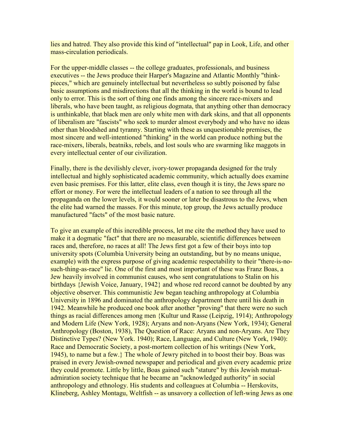lies and hatred. They also provide this kind of "intellectual" pap in Look, Life, and other mass-circulation periodicals.

For the upper-middle classes -- the college graduates, professionals, and business executives -- the Jews produce their Harper's Magazine and Atlantic Monthly "thinkpieces," which are genuinely intellectual but nevertheless so subtly poisoned by false basic assumptions and misdirections that all the thinking in the world is bound to lead only to error. This is the sort of thing one finds among the sincere race-mixers and liberals, who have been taught, as religious dogmata, that anything other than democracy is unthinkable, that black men are only white men with dark skins, and that all opponents of liberalism are "fascists" who seek to murder almost everybody and who have no ideas other than bloodshed and tyranny. Starting with these as unquestionable premises, the most sincere and well-intentioned "thinking" in the world can produce nothing but the race-mixers, liberals, beatniks, rebels, and lost souls who are swarming like maggots in every intellectual center of our civilization.

Finally, there is the devilishly clever, ivory-tower propaganda designed for the truly intellectual and highly sophisticated academic community, which actually does examine even basic premises. For this latter, elite class, even though it is tiny, the Jews spare no effort or money. For were the intellectual leaders of a nation to see through all the propaganda on the lower levels, it would sooner or later be disastrous to the Jews, when the elite had warned the masses. For this minute, top group, the Jews actually produce manufactured "facts" of the most basic nature.

To give an example of this incredible process, let me cite the method they have used to make it a dogmatic "fact" that there are no measurable, scientific differences between races and, therefore, no races at all! The Jews first got a few of their boys into top university spots (Columbia University being an outstanding, but by no means unique, example) with the express purpose of giving academic respectability to their "there-is-nosuch-thing-as-race" lie. One of the first and most important of these was Franz Boas, a Jew heavily involved in communist causes, who sent congratulations to Stalin on his birthdays {Jewish Voice, January, 1942} and whose red record cannot be doubted by any objective observer. This communistic Jew began teaching anthropology at Columbia University in 1896 and dominated the anthropology department there until his death in 1942. Meanwhile he produced one book after another "proving" that there were no such things as racial differences among men {Kultur und Rasse (Leipzig, 1914); Anthropology and Modern Life (New York, 1928); Aryans and non-Aryans (New York, 1934); General Anthropology (Boston, 1938), The Question of Race: Aryans and non-Aryans. Are They Distinctive Types? (New York. 1940); Race, Language, and Culture (New York, 1940): Race and Democratic Society, a post-mortem collection of his writings (New York, 1945), to name but a few.} The whole of Jewry pitched in to boost their boy. Boas was praised in every Jewish-owned newspaper and periodical and given every academic prize they could promote. Little by little, Boas gained such "stature" by this Jewish mutualadmiration society technique that he became an "acknowledged authority" in social anthropology and ethnology. His students and colleagues at Columbia -- Herskovits, Klineberg, Ashley Montagu, Weltfish -- as unsavory a collection of left-wing Jews as one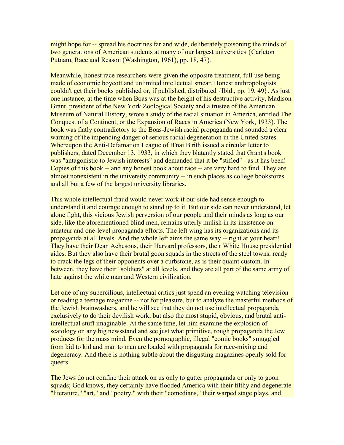might hope for -- spread his doctrines far and wide, deliberately poisoning the minds of two generations of American students at many of our largest universities {Carleton Putnam, Race and Reason (Washington, 1961), pp. 18, 47}.

Meanwhile, honest race researchers were given the opposite treatment, full use being made of economic boycott and unlimited intellectual smear. Honest anthropologists couldn't get their books published or, if published, distributed {Ibid., pp. 19, 49}. As just one instance, at the time when Boas was at the height of his destructive activity, Madison Grant, president of the New York Zoological Society and a trustee of the American Museum of Natural History, wrote a study of the racial situation in America, entitled The Conquest of a Continent, or the Expansion of Races in America (New York, 1933). The book was flatly contradictory to the Boas-Jewish racial propaganda and sounded a clear warning of the impending danger of serious racial degeneration in the United States. Whereupon the Anti-Defamation League of B'nai B'rith issued a circular letter to publishers, dated December 13, 1933, in which they blatantly stated that Grant's book was "antagonistic to Jewish interests" and demanded that it be "stifled" - as it has been! Copies of this book -- and any honest book about race -- are very hard to find. They are almost nonexistent in the university community -- in such places as college bookstores and all but a few of the largest university libraries.

This whole intellectual fraud would never work if our side had sense enough to understand it and courage enough to stand up to it. But our side can never understand, let alone fight, this vicious Jewish perversion of our people and their minds as long as our side, like the aforementioned blind men, remains utterly mulish in its insistence on amateur and one-level propaganda efforts. The left wing has its organizations and its propaganda at all levels. And the whole left aims the same way -- right at your heart! They have their Dean Achesons, their Harvard professors, their White House presidential aides. But they also have their brutal goon squads in the streets of the steel towns, ready to crack the legs of their opponents over a curbstone, as is their quaint custom. In between, they have their "soldiers" at all levels, and they are all part of the same army of hate against the white man and Western civilization.

Let one of my supercilious, intellectual critics just spend an evening watching television or reading a teenage magazine -- not for pleasure, but to analyze the masterful methods of the Jewish brainwashers, and he will see that they do not use intellectual propaganda exclusively to do their devilish work, but also the most stupid, obvious, and brutal antiintellectual stuff imaginable. At the same time, let him examine the explosion of scatology on any big newsstand and see just what primitive, rough propaganda the Jew produces for the mass mind. Even the pornographic, illegal "comic books" smuggled from kid to kid and man to man are loaded with propaganda for race-mixing and degeneracy. And there is nothing subtle about the disgusting magazines openly sold for queers.

The Jews do not confine their attack on us only to gutter propaganda or only to goon squads; God knows, they certainly have flooded America with their filthy and degenerate "literature," "art," and "poetry," with their "comedians," their warped stage plays, and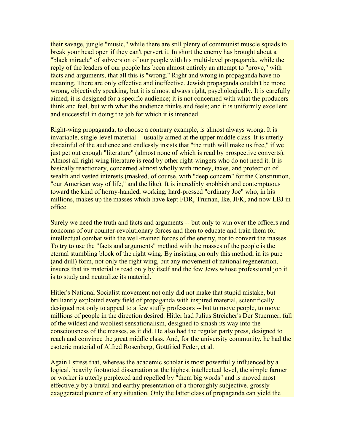their savage, jungle "music," while there are still plenty of communist muscle squads to break your head open if they can't pervert it. In short the enemy has brought about a "black miracle" of subversion of our people with his multi-level propaganda, while the reply of the leaders of our people has been almost entirely an attempt to "prove," with facts and arguments, that all this is "wrong." Right and wrong in propaganda have no meaning. There are only effective and ineffective. Jewish propaganda couldn't be more wrong, objectively speaking, but it is almost always right, psychologically. It is carefully aimed; it is designed for a specific audience; it is not concerned with what the producers think and feel, but with what the audience thinks and feels; and it is uniformly excellent and successful in doing the job for which it is intended.

Right-wing propaganda, to choose a contrary example, is almost always wrong. It is invariable, single-level material -- usually aimed at the upper middle class. It is utterly disdainful of the audience and endlessly insists that "the truth will make us free," if we just get out enough "literature" (almost none of which is read by prospective converts). Almost all right-wing literature is read by other right-wingers who do not need it. It is basically reactionary, concerned almost wholly with money, taxes, and protection of wealth and vested interests (masked, of course, with "deep concern" for the Constitution, "our American way of life," and the like). It is incredibly snobbish and contemptuous toward the kind of horny-handed, working, hard-pressed "ordinary Joe" who, in his millions, makes up the masses which have kept FDR, Truman, Ike, JFK, and now LBJ in office.

Surely we need the truth and facts and arguments -- but only to win over the officers and noncoms of our counter-revolutionary forces and then to educate and train them for intellectual combat with the well-trained forces of the enemy, not to convert the masses. To try to use the "facts and arguments" method with the masses of the people is the eternal stumbling block of the right wing. By insisting on only this method, in its pure (and dull) form, not only the right wing, but any movement of national regeneration, insures that its material is read only by itself and the few Jews whose professional job it is to study and neutralize its material.

Hitler's National Socialist movement not only did not make that stupid mistake, but brilliantly exploited every field of propaganda with inspired material, scientifically designed not only to appeal to a few stuffy professors -- but to move people, to move millions of people in the direction desired. Hitler had Julius Streicher's Der Stuermer, full of the wildest and wooliest sensationalism, designed to smash its way into the consciousness of the masses, as it did. He also had the regular party press, designed to reach and convince the great middle class. And, for the university community, he had the esoteric material of Alfred Rosenberg, Gottfried Feder, et al.

Again I stress that, whereas the academic scholar is most powerfully influenced by a logical, heavily footnoted dissertation at the highest intellectual level, the simple farmer or worker is utterly perplexed and repelled by "them big words" and is moved most effectively by a brutal and earthy presentation of a thoroughly subjective, grossly exaggerated picture of any situation. Only the latter class of propaganda can yield the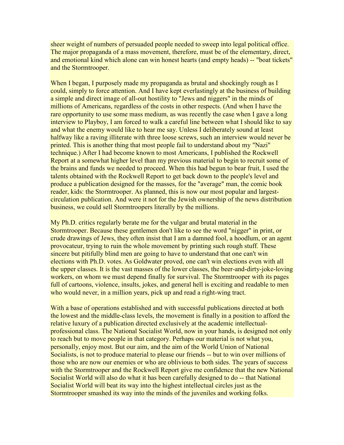sheer weight of numbers of persuaded people needed to sweep into legal political office. The major propaganda of a mass movement, therefore, must be of the elementary, direct, and emotional kind which alone can win honest hearts (and empty heads) -- "boat tickets" and the Stormtrooper.

When I began, I purposely made my propaganda as brutal and shockingly rough as I could, simply to force attention. And I have kept everlastingly at the business of building a simple and direct image of all-out hostility to "Jews and niggers" in the minds of millions of Americans, regardless of the costs in other respects. (And when I have the rare opportunity to use some mass medium, as was recently the case when I gave a long interview to Playboy, I am forced to walk a careful line between what I should like to say and what the enemy would like to hear me say. Unless I deliberately sound at least halfway like a raving illiterate with three loose screws, such an interview would never be printed. This is another thing that most people fail to understand about my "Nazi" technique.) After I had become known to most Americans, I published the Rockwell Report at a somewhat higher level than my previous material to begin to recruit some of the brains and funds we needed to proceed. When this had begun to bear fruit, I used the talents obtained with the Rockwell Report to get back down to the people's level and produce a publication designed for the masses, for the "average" man, the comic book reader, kids: the Stormtrooper. As planned, this is now our most popular and largestcirculation publication. And were it not for the Jewish ownership of the news distribution business, we could sell Stormtroopers literally by the millions.

My Ph.D. critics regularly berate me for the vulgar and brutal material in the Stormtrooper. Because these gentlemen don't like to see the word "nigger" in print, or crude drawings of Jews, they often insist that I am a damned fool, a hoodlum, or an agent provocateur, trying to ruin the whole movement by printing such rough stuff. These sincere but pitifully blind men are going to have to understand that one can't win elections with Ph.D. votes. As Goldwater proved, one can't win elections even with all the upper classes. It is the vast masses of the lower classes, the beer-and-dirty-joke-loving workers, on whom we must depend finally for survival. The Stormtrooper with its pages full of cartoons, violence, insults, jokes, and general hell is exciting and readable to men who would never, in a million years, pick up and read a right-wing tract.

With a base of operations established and with successful publications directed at both the lowest and the middle-class levels, the movement is finally in a position to afford the relative luxury of a publication directed exclusively at the academic intellectualprofessional class. The National Socialist World, now in your hands, is designed not only to reach but to move people in that category. Perhaps our material is not what you, personally, enjoy most. But our aim, and the aim of the World Union of National Socialists, is not to produce material to please our friends -- but to win over millions of those who are now our enemies or who are oblivious to both sides. The years of success with the Stormtrooper and the Rockwell Report give me confidence that the new National Socialist World will also do what it has been carefully designed to do -- that National Socialist World will beat its way into the highest intellectual circles just as the Stormtrooper smashed its way into the minds of the juveniles and working folks.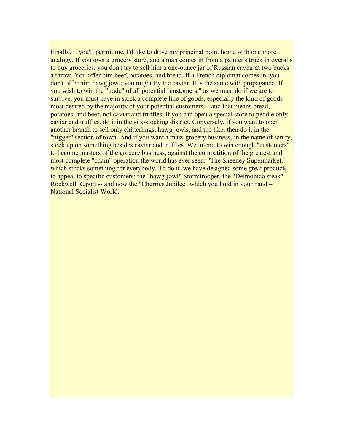Finally, if you'll permit me, I'd like to drive my principal point home with one more analogy. If you own a grocery store, and a man comes in from a painter's truck in overalls to buy groceries, you don't try to sell him a one-ounce jar of Russian caviar at two bucks a throw. You offer him beef, potatoes, and bread. If a French diplomat comes in, you don't offer him hawg jowl; you might try the caviar. It is the same with propaganda. If you wish to win the "trade" of all potential "customers," as we must do if we are to survive, you must have in stock a complete line of goods, especially the kind of goods most desired by the majority of your potential customers -- and that means bread, potatoes, and beef, not caviar and truffles. If you can open a special store to peddle only caviar and truffles, do it in the silk-stocking district. Conversely, if you want to open another branch to sell only chitterlings, hawg jowls, and the like, then do it in the "nigger" section of town. And if you want a mass grocery business, in the name of sanity, stock up on something besides caviar and truffles. We intend to win enough "customers" to become masters of the grocery business, against the competition of the greatest and most complete "chain" operation the world has ever seen: "The Sheeney Supermarket," which stocks something for everybody. To do it, we have designed some great products to appeal to specific customers: the "hawg-jowl" Stormtrooper, the "Delmonico steak" Rockwell Report -- and now the "Cherries Jubilee" which you hold in your hand – National Socialist World.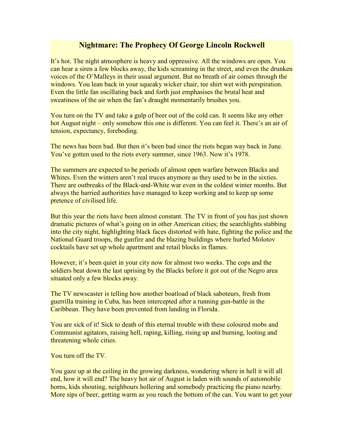# **Nightmare: The Prophecy Of George Lincoln Rockwell**

<span id="page-32-0"></span>It's hot. The night atmosphere is heavy and oppressive. All the windows are open. You can hear a siren a few blocks away, the kids screaming in the street, and even the drunken voices of the O'Malleys in their usual argument. But no breath of air comes through the windows. You lean back in your squeaky wicker chair, tee shirt wet with perspiration. Even the little fan oscillating back and forth just emphasises the brutal heat and sweatiness of the air when the fan's draught momentarily brushes you.

You turn on the TV and take a gulp of beer out of the cold can. It seems like any other hot August night – only somehow this one is different. You can feel it. There's an air of tension, expectancy, foreboding.

The news has been bad. But then it's been bad since the riots began way back in June. You've gotten used to the riots every summer, since 1963. Now it's 1978.

The summers are expected to be periods of almost open warfare between Blacks and Whites. Even the winters aren't real truces anymore as they used to be in the sixties. There are outbreaks of the Black-and-White war even in the coldest winter months. But always the harried authorities have managed to keep working and to keep up some pretence of civilised life.

But this year the riots have been almost constant. The TV in front of you has just shown dramatic pictures of what's going on in other American cities; the searchlights stabbing into the city night, highlighting black faces distorted with hate, fighting the police and the National Guard troops, the gunfire and the blazing buildings where hurled Molotov cocktails have set up whole apartment and retail blocks in flames.

However, it's been quiet in your city now for almost two weeks. The cops and the soldiers beat down the last uprising by the Blacks before it got out of the Negro area situated only a few blocks away.

The TV newscaster is telling how another boatload of black saboteurs, fresh from guerrilla training in Cuba, has been intercepted after a running gun-battle in the Caribbean. They have been prevented from landing in Florida.

You are sick of it! Sick to death of this eternal trouble with these coloured mobs and Communist agitators, raising hell, raping, killing, rising up and burning, looting and threatening whole cities.

You turn off the TV.

You gaze up at the ceiling in the growing darkness, wondering where in hell it will all end, how it will end? The heavy hot air of August is laden with sounds of automobile horns, kids shouting, neighbours hollering and somebody practicing the piano nearby. More sips of beer, getting warm as you reach the bottom of the can. You want to get your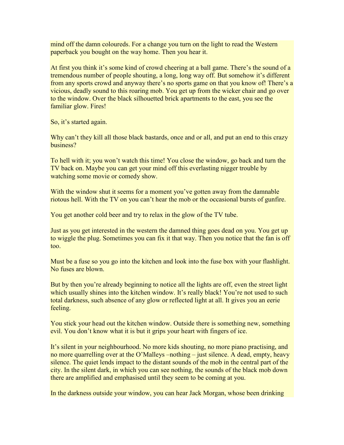mind off the damn coloureds. For a change you turn on the light to read the Western paperback you bought on the way home. Then you hear it.

At first you think it's some kind of crowd cheering at a ball game. There's the sound of a tremendous number of people shouting, a long, long way off. But somehow it's different from any sports crowd and anyway there's no sports game on that you know of! There's a vicious, deadly sound to this roaring mob. You get up from the wicker chair and go over to the window. Over the black silhouetted brick apartments to the east, you see the familiar glow. Fires!

So, it's started again.

Why can't they kill all those black bastards, once and or all, and put an end to this crazy business?

To hell with it; you won't watch this time! You close the window, go back and turn the TV back on. Maybe you can get your mind off this everlasting nigger trouble by watching some movie or comedy show.

With the window shut it seems for a moment you've gotten away from the damnable riotous hell. With the TV on you can't hear the mob or the occasional bursts of gunfire.

You get another cold beer and try to relax in the glow of the TV tube.

Just as you get interested in the western the damned thing goes dead on you. You get up to wiggle the plug. Sometimes you can fix it that way. Then you notice that the fan is off too.

Must be a fuse so you go into the kitchen and look into the fuse box with your flashlight. No fuses are blown.

But by then you're already beginning to notice all the lights are off, even the street light which usually shines into the kitchen window. It's really black! You're not used to such total darkness, such absence of any glow or reflected light at all. It gives you an eerie feeling.

You stick your head out the kitchen window. Outside there is something new, something evil. You don't know what it is but it grips your heart with fingers of ice.

It's silent in your neighbourhood. No more kids shouting, no more piano practising, and no more quarrelling over at the O'Malleys –nothing – just silence. A dead, empty, heavy silence. The quiet lends impact to the distant sounds of the mob in the central part of the city. In the silent dark, in which you can see nothing, the sounds of the black mob down there are amplified and emphasised until they seem to be coming at you.

In the darkness outside your window, you can hear Jack Morgan, whose been drinking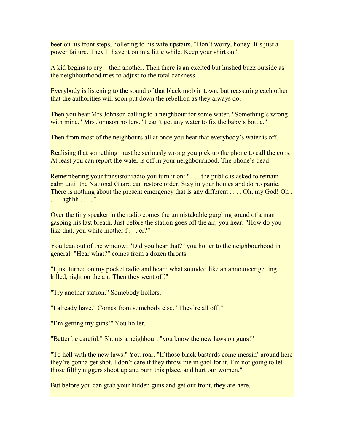beer on his front steps, hollering to his wife upstairs. "Don't worry, honey. It's just a power failure. They'll have it on in a little while. Keep your shirt on."

A kid begins to cry – then another. Then there is an excited but hushed buzz outside as the neighbourhood tries to adjust to the total darkness.

Everybody is listening to the sound of that black mob in town, but reassuring each other that the authorities will soon put down the rebellion as they always do.

Then you hear Mrs Johnson calling to a neighbour for some water. "Something's wrong with mine." Mrs Johnson hollers. "I can't get any water to fix the baby's bottle."

Then from most of the neighbours all at once you hear that everybody's water is off.

Realising that something must be seriously wrong you pick up the phone to call the cops. At least you can report the water is off in your neighbourhood. The phone's dead!

Remembering your transistor radio you turn it on: "... the public is asked to remain calm until the National Guard can restore order. Stay in your homes and do no panic. There is nothing about the present emergency that is any different . . . . Oh, my God! Oh .  $\ldots$  – aghhh  $\ldots$  ."

Over the tiny speaker in the radio comes the unmistakable gurgling sound of a man gasping his last breath. Just before the station goes off the air, you hear: "How do you like that, you white mother f... er?"

You lean out of the window: "Did you hear that?" you holler to the neighbourhood in general. "Hear what?" comes from a dozen throats.

"I just turned on my pocket radio and heard what sounded like an announcer getting killed, right on the air. Then they went off."

"Try another station." Somebody hollers.

"I already have." Comes from somebody else. "They're all off!"

"I'm getting my guns!" You holler.

"Better be careful." Shouts a neighbour, "you know the new laws on guns!"

"To hell with the new laws." You roar. "If those black bastards come messin' around here they're gonna get shot. I don't care if they throw me in gaol for it. I'm not going to let those filthy niggers shoot up and burn this place, and hurt our women."

But before you can grab your hidden guns and get out front, they are here.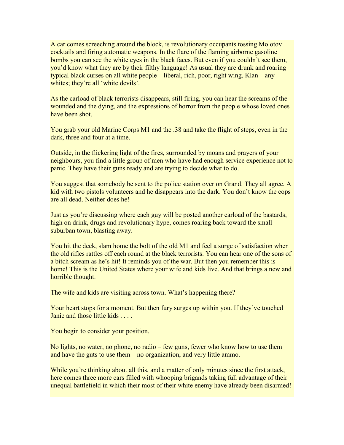A car comes screeching around the block, is revolutionary occupants tossing Molotov cocktails and firing automatic weapons. In the flare of the flaming airborne gasoline bombs you can see the white eyes in the black faces. But even if you couldn't see them, you'd know what they are by their filthy language! As usual they are drunk and roaring typical black curses on all white people – liberal, rich, poor, right wing, Klan – any whites; they're all 'white devils'.

As the carload of black terrorists disappears, still firing, you can hear the screams of the wounded and the dying, and the expressions of horror from the people whose loved ones have been shot.

You grab your old Marine Corps M1 and the .38 and take the flight of steps, even in the dark, three and four at a time.

Outside, in the flickering light of the fires, surrounded by moans and prayers of your neighbours, you find a little group of men who have had enough service experience not to panic. They have their guns ready and are trying to decide what to do.

You suggest that somebody be sent to the police station over on Grand. They all agree. A kid with two pistols volunteers and he disappears into the dark. You don't know the cops are all dead. Neither does he!

Just as you're discussing where each guy will be posted another carload of the bastards, high on drink, drugs and revolutionary hype, comes roaring back toward the small suburban town, blasting away.

You hit the deck, slam home the bolt of the old M1 and feel a surge of satisfaction when the old rifles rattles off each round at the black terrorists. You can hear one of the sons of a bitch scream as he's hit! It reminds you of the war. But then you remember this is home! This is the United States where your wife and kids live. And that brings a new and horrible thought.

The wife and kids are visiting across town. What's happening there?

Your heart stops for a moment. But then fury surges up within you. If they've touched Janie and those little kids . . . .

You begin to consider your position.

No lights, no water, no phone, no radio – few guns, fewer who know how to use them and have the guts to use them – no organization, and very little ammo.

While you're thinking about all this, and a matter of only minutes since the first attack, here comes three more cars filled with whooping brigands taking full advantage of their unequal battlefield in which their most of their white enemy have already been disarmed!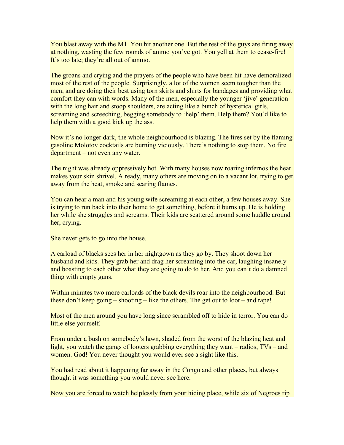You blast away with the M1. You hit another one. But the rest of the guys are firing away at nothing, wasting the few rounds of ammo you've got. You yell at them to cease-fire! It's too late; they're all out of ammo.

The groans and crying and the prayers of the people who have been hit have demoralized most of the rest of the people. Surprisingly, a lot of the women seem tougher than the men, and are doing their best using torn skirts and shirts for bandages and providing what comfort they can with words. Many of the men, especially the younger 'jive' generation with the long hair and stoop shoulders, are acting like a bunch of hysterical girls, screaming and screeching, begging somebody to 'help' them. Help them? You'd like to help them with a good kick up the ass.

Now it's no longer dark, the whole neighbourhood is blazing. The fires set by the flaming gasoline Molotov cocktails are burning viciously. There's nothing to stop them. No fire department – not even any water.

The night was already oppressively hot. With many houses now roaring infernos the heat makes your skin shrivel. Already, many others are moving on to a vacant lot, trying to get away from the heat, smoke and searing flames.

You can hear a man and his young wife screaming at each other, a few houses away. She is trying to run back into their home to get something, before it burns up. He is holding her while she struggles and screams. Their kids are scattered around some huddle around her, crying.

She never gets to go into the house.

A carload of blacks sees her in her nightgown as they go by. They shoot down her husband and kids. They grab her and drag her screaming into the car, laughing insanely and boasting to each other what they are going to do to her. And you can't do a damned thing with empty guns.

Within minutes two more carloads of the black devils roar into the neighbourhood. But these don't keep going – shooting – like the others. The get out to loot – and rape!

Most of the men around you have long since scrambled off to hide in terror. You can do little else yourself.

From under a bush on somebody's lawn, shaded from the worst of the blazing heat and light, you watch the gangs of looters grabbing everything they want – radios, TVs – and women. God! You never thought you would ever see a sight like this.

You had read about it happening far away in the Congo and other places, but always thought it was something you would never see here.

Now you are forced to watch helplessly from your hiding place, while six of Negroes rip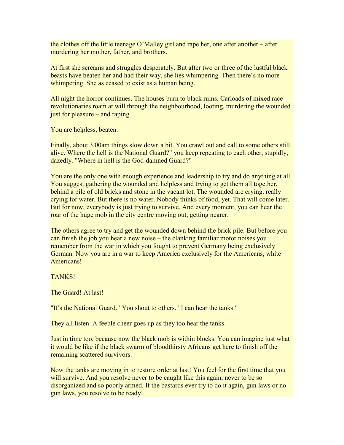the clothes off the little teenage O'Malley girl and rape her, one after another – after murdering her mother, father, and brothers.

At first she screams and struggles desperately. But after two or three of the lustful black beasts have beaten her and had their way, she lies whimpering. Then there's no more whimpering. She as ceased to exist as a human being.

All night the horror continues. The houses burn to black ruins. Carloads of mixed race revolutionaries roam at will through the neighbourhood, looting, murdering the wounded just for pleasure – and raping.

You are helpless, beaten.

Finally, about 3.00am things slow down a bit. You crawl out and call to some others still alive. Where the hell is the National Guard?" you keep repeating to each other, stupidly, dazedly. "Where in hell is the God-damned Guard?"

You are the only one with enough experience and leadership to try and do anything at all. You suggest gathering the wounded and helpless and trying to get them all together, behind a pile of old bricks and stone in the vacant lot. The wounded are crying, really crying for water. But there is no water. Nobody thinks of food, yet. That will come later. But for now, everybody is just trying to survive. And every moment, you can hear the roar of the huge mob in the city centre moving out, getting nearer.

The others agree to try and get the wounded down behind the brick pile. But before you can finish the job you hear a new noise – the clanking familiar motor noises you remember from the war in which you fought to prevent Germany being exclusively German. Now you are in a war to keep America exclusively for the Americans, white Americans!

TANKS!

The Guard! At last!

"It's the National Guard." You shout to others. "I can hear the tanks."

They all listen. A feeble cheer goes up as they too hear the tanks.

Just in time too, because now the black mob is within blocks. You can imagine just what it would be like if the black swarm of bloodthirsty Africans get here to finish off the remaining scattered survivors.

Now the tanks are moving in to restore order at last! You feel for the first time that you will survive. And you resolve never to be caught like this again, never to be so disorganized and so poorly armed. If the bastards ever try to do it again, gun laws or no gun laws, you resolve to be ready!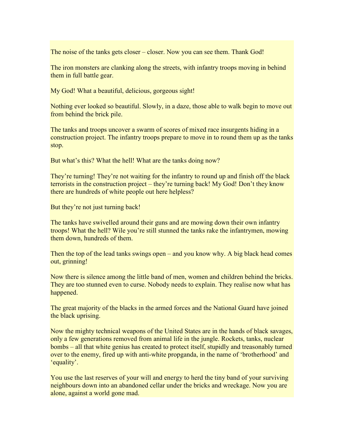The noise of the tanks gets closer – closer. Now you can see them. Thank God!

The iron monsters are clanking along the streets, with infantry troops moving in behind them in full battle gear.

My God! What a beautiful, delicious, gorgeous sight!

Nothing ever looked so beautiful. Slowly, in a daze, those able to walk begin to move out from behind the brick pile.

The tanks and troops uncover a swarm of scores of mixed race insurgents hiding in a construction project. The infantry troops prepare to move in to round them up as the tanks stop.

But what's this? What the hell! What are the tanks doing now?

They're turning! They're not waiting for the infantry to round up and finish off the black terrorists in the construction project – they're turning back! My God! Don't they know there are hundreds of white people out here helpless?

But they're not just turning back!

The tanks have swivelled around their guns and are mowing down their own infantry troops! What the hell? Wile you're still stunned the tanks rake the infantrymen, mowing them down, hundreds of them.

Then the top of the lead tanks swings open – and you know why. A big black head comes out, grinning!

Now there is silence among the little band of men, women and children behind the bricks. They are too stunned even to curse. Nobody needs to explain. They realise now what has happened.

The great majority of the blacks in the armed forces and the National Guard have joined the black uprising.

Now the mighty technical weapons of the United States are in the hands of black savages, only a few generations removed from animal life in the jungle. Rockets, tanks, nuclear bombs – all that white genius has created to protect itself, stupidly and treasonably turned over to the enemy, fired up with anti-white propganda, in the name of 'brotherhood' and 'equality'.

You use the last reserves of your will and energy to herd the tiny band of your surviving neighbours down into an abandoned cellar under the bricks and wreckage. Now you are alone, against a world gone mad.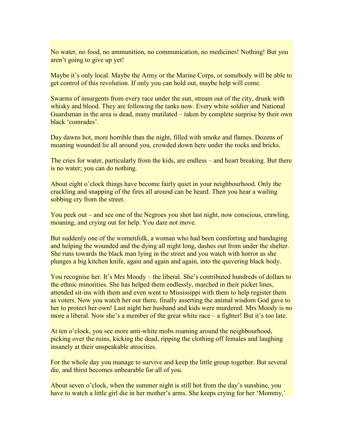No water, no food, no ammunition, no communication, no medicines! Nothing! But you aren't going to give up yet!

Maybe it's only local. Maybe the Army or the Marine Corps, or somebody will be able to get control of this revolution. If only you can hold out, maybe help will come.

Swarms of insurgents from every race under the sun, stream out of the city, drunk with whisky and blood. They are following the tanks now. Every white soldier and National Guardsman in the area is dead, many mutilated – taken by complete surprise by their own black 'comrades'.

Day dawns hot, more horrible than the night, filled with smoke and flames. Dozens of moaning wounded lie all around you, crowded down here under the rocks and bricks.

The cries for water, particularly from the kids, are endless – and heart breaking. But there is no water; you can do nothing.

About eight o'clock things have become fairly quiet in your neighbourhood. Only the crackling and snapping of the fires all around can be heard. Then you hear a wailing sobbing cry from the street.

You peek out – and see one of the Negroes you shot last night, now conscious, crawling, moaning, and crying out for help. You dare not move.

But suddenly one of the womenfolk, a woman who had been comforting and bandaging and helping the wounded and the dying all night long, dashes out from under the shelter. She runs towards the black man lying in the street and you watch with horror as she plunges a big kitchen knife, again and again and again, into the quivering black body.

You recognise her. It's Mrs Moody – the liberal. She's contributed hundreds of dollars to the ethnic minorities. She has helped them endlessly, marched in their picket lines, attended sit-ins with them and even went to Mississippi with them to help register them as voters. Now you watch her out there, finally asserting the animal wisdom God gave to her to protect her own! Last night her husband and kids were murdered. Mrs Moody is no more a liberal. Now she's a member of the great white race – a fighter! But it's too late.

At ten o'clock, you see more anti-white mobs roaming around the neighbourhood, picking over the ruins, kicking the dead, ripping the clothing off females and laughing insanely at their unspeakable atrocities.

For the whole day you manage to survive and keep the little group together. But several die, and thirst becomes unbearable for all of you.

About seven o'clock, when the summer night is still hot from the day's sunshine, you have to watch a little girl die in her mother's arms. She keeps crying for her 'Mommy,'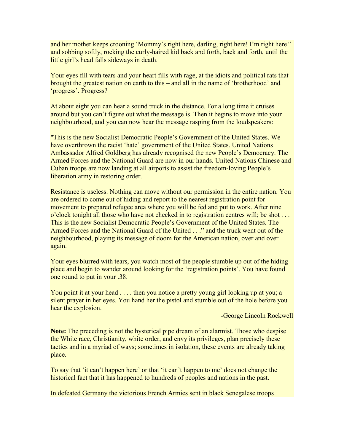and her mother keeps crooning 'Mommy's right here, darling, right here! I'm right here!' and sobbing softly, rocking the curly-haired kid back and forth, back and forth, until the little girl's head falls sideways in death.

Your eyes fill with tears and your heart fills with rage, at the idiots and political rats that brought the greatest nation on earth to this – and all in the name of 'brotherhood' and 'progress'. Progress?

At about eight you can hear a sound truck in the distance. For a long time it cruises around but you can't figure out what the message is. Then it begins to move into your neighbourhood, and you can now hear the message rasping from the loudspeakers:

"This is the new Socialist Democratic People's Government of the United States. We have overthrown the racist 'hate' government of the United States. United Nations Ambassador Alfred Goldberg has already recognised the new People's Democracy. The Armed Forces and the National Guard are now in our hands. United Nations Chinese and Cuban troops are now landing at all airports to assist the freedom-loving People's liberation army in restoring order.

Resistance is useless. Nothing can move without our permission in the entire nation. You are ordered to come out of hiding and report to the nearest registration point for movement to prepared refugee area where you will be fed and put to work. After nine o'clock tonight all those who have not checked in to registration centres will; be shot . . . This is the new Socialist Democratic People's Government of the United States. The Armed Forces and the National Guard of the United . . ." and the truck went out of the neighbourhood, playing its message of doom for the American nation, over and over again.

Your eyes blurred with tears, you watch most of the people stumble up out of the hiding place and begin to wander around looking for the 'registration points'. You have found one round to put in your .38.

You point it at your head . . . . then you notice a pretty young girl looking up at you; a silent prayer in her eyes. You hand her the pistol and stumble out of the hole before you hear the explosion.

-George Lincoln Rockwell

**Note:** The preceding is not the hysterical pipe dream of an alarmist. Those who despise the White race, Christianity, white order, and envy its privileges, plan precisely these tactics and in a myriad of ways; sometimes in isolation, these events are already taking place.

To say that 'it can't happen here' or that 'it can't happen to me' does not change the historical fact that it has happened to hundreds of peoples and nations in the past.

In defeated Germany the victorious French Armies sent in black Senegalese troops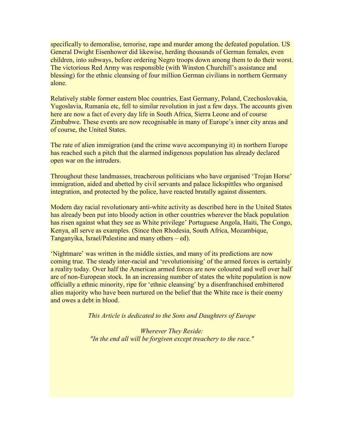specifically to demoralise, terrorise, rape and murder among the defeated population. US General Dwight Eisenhower did likewise, herding thousands of German females, even children, into subways, before ordering Negro troops down among them to do their worst. The victorious Red Army was responsible (with Winston Churchill's assistance and blessing) for the ethnic cleansing of four million German civilians in northern Germany alone.

Relatively stable former eastern bloc countries, East Germany, Poland, Czechoslovakia, Yugoslavia, Rumania etc, fell to similar revolution in just a few days. The accounts given here are now a fact of every day life in South Africa, Sierra Leone and of course Zimbabwe. These events are now recognisable in many of Europe's inner city areas and of course, the United States.

The rate of alien immigration (and the crime wave accompanying it) in northern Europe has reached such a pitch that the alarmed indigenous population has already declared open war on the intruders.

Throughout these landmasses, treacherous politicians who have organised 'Trojan Horse' immigration, aided and abetted by civil servants and palace lickspittles who organised integration, and protected by the police, have reacted brutally against dissenters.

Modern day racial revolutionary anti-white activity as described here in the United States has already been put into bloody action in other countries wherever the black population has risen against what they see as White privilege' Portuguese Angola, Haiti, The Congo, Kenya, all serve as examples. (Since then Rhodesia, South Africa, Mozambique, Tanganyika, Israel/Palestine and many others – ed).

'Nightmare' was written in the middle sixties, and many of its predictions are now coming true. The steady inter-racial and 'revolutionising' of the armed forces is certainly a reality today. Over half the American armed forces are now coloured and well over half are of non-European stock. In an increasing number of states the white population is now officially a ethnic minority, ripe for 'ethnic cleansing' by a disenfranchised embittered alien majority who have been nurtured on the belief that the White race is their enemy and owes a debt in blood.

*This Article is dedicated to the Sons and Daughters of Europe* 

*Wherever They Reside: "In the end all will be forgiven except treachery to the race."*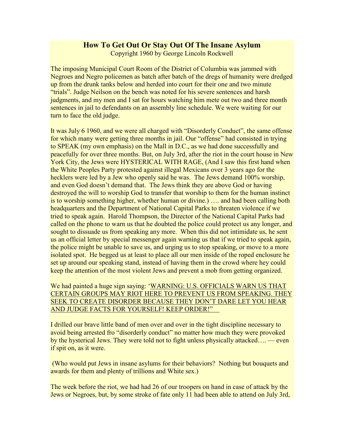## **How To Get Out Or Stay Out Of The Insane Asylum**

Copyright 1960 by George Lincoln Rockwell

<span id="page-42-0"></span>The imposing Municipal Court Room of the District of Columbia was jammed with Negroes and Negro policemen as batch after batch of the dregs of humanity were dredged up from the drunk tanks below and herded into court for their one and two minute "trials". Judge Neilson on the bench was noted for his severe sentences and harsh judgments, and my men and I sat for hours watching him mete out two and three month sentences in jail to defendants on an assembly line schedule. We were waiting for our turn to face the old judge.

It was July 6 1960, and we were all charged with "Disorderly Conduct", the same offense for which many were getting three months in jail. Our "offense" had consisted in trying to SPEAK (my own emphasis) on the Mall in D.C., as we had done successfully and peacefully for over three months. But, on July 3rd, after the riot in the court house in New York City, the Jews were HYSTERICAL WITH RAGE, (And I saw this first hand when the White Peoples Party protested against illegal Mexicans over 3 years ago for the hecklers were led by a Jew who openly said he was. The Jews demand 100% worship, and even God doesn't demand that. The Jews think they are above God or having destroyed the will to worship God to transfer that worship to them for the human instinct is to worship something higher, whether human or divine.) …. and had been calling both headquarters and the Department of National Capital Parks to threaten violence if we tried to speak again. Harold Thompson, the Director of the National Capital Parks had called on the phone to warn us that he doubted the police could protect us any longer, and sought to dissuade us from speaking any more. When this did not intimidate us, he sent us an official letter by special messenger again warning us that if we tried to speak again, the police might be unable to save us, and urging us to stop speaking, or move to a more isolated spot. He begged us at least to place all our men inside of the roped enclosure he set up around our speaking stand, instead of having them in the crowd where hey could keep the attention of the most violent Jews and prevent a mob from getting organized.

#### We had painted a huge sign saying: 'WARNING: U.S. OFFICIALS WARN US THAT CERTAIN GROUPS MAY RIOT HERE TO PREVENT US FROM SPEAKING. THEY SEEK TO CREATE DISORDER BECAUSE THEY DON'T DARE LET YOU HEAR AND JUDGE FACTS FOR YOURSELF! KEEP ORDER!"

I drilled our brave little band of men over and over in the tight discipline necessary to avoid being arrested fro "disorderly conduct" no matter how much they were provoked by the hysterical Jews. They were told not to fight unless physically attacked…. — even if spit on, as it were.

 (Who would put Jews in insane asylums for their behaviors? Nothing but bouquets and awards for them and plenty of trillions and White sex.)

The week before the riot, we had had 26 of our troopers on hand in case of attack by the Jews or Negroes, but, by some stroke of fate only 11 had been able to attend on July 3rd,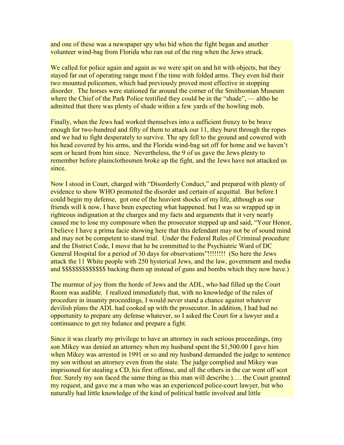and one of these was a newspaper spy who hid when the fight began and another volunteer wind-bag from Florida who ran out of the ring when the Jews struck.

We called for police again and again as we were spit on and hit with objects, but they stayed far out of operating range most f the time with folded arms. They even hid their two mounted policemen, which had previously proved most effective in stopping disorder. The horses were stationed far around the corner of the Smithsonian Museum where the Chief of the Park Police testified they could be in the "shade", — altho he admitted that there was plenty of shade within a few yards of the howling mob.

Finally, when the Jews had worked themselves into a sufficient frenzy to be brave enough for two-hundred and fifty of them to attack our 11, they burst through the ropes and we had to fight desperately to survive. The spy fell to the ground and cowered with his head covered by his arms, and the Florida wind-bag set off for home and we haven't seen or heard from him since. Nevertheless, the 9 of us gave the Jews plenty to remember before plainclothesmen broke up the fight, and the Jews have not attacked us since.

Now I stood in Court, charged with "Disorderly Conduct," and prepared with plenty of evidence to show WHO promoted the disorder and certain of acquittal. But before I could begin my defense, got one of the heaviest shocks of my life, although as our friends will k now, I have been expecting what happened. but I was so wrapped up in righteous indignation at the charges and my facts and arguments that it very nearly caused me to lose my composure when the prosecutor stepped up and said, "Your Honor, I believe I have a prima facie showing here that this defendant may not be of sound mind and may not be competent to stand trial. Under the Federal Rules of Criminal procedure and the District Code, I move that he be committed to the Psychiatric Ward of DC General Hospital for a period of 30 days for observations"!!!!!!!! (So here the Jews attack the 11 White people with 250 hysterical Jews, and the law, government and media and \$\$\$\$\$\$\$\$\$\$\$\$\$ backing them up instead of guns and bombs which they now have.)

The murmur of joy from the horde of Jews and the ADL, who had filled up the Court Room was audible. I realized immediately that, with no knowledge of the rules of procedure in insanity proceedings, I would never stand a chance against whatever devilish plans the ADL had cooked up with the prosecutor. In addition, I had had no opportunity to prepare any defense whatever, so I asked the Court for a lawyer and a continuance to get my balance and prepare a fight.

Since it was clearly my privilege to have an attorney in such serious proceedings, (my son Mikey was denied an attorney when my husband spent the \$1,500.00 I gave him when Mikey was arrested in 1991 or so and my husband demanded the judge to sentence my son without an attorney even from the state. The judge complied and Mikey was imprisoned for stealing a CD, his first offense, and all the others in the car went off scot free. Surely my son faced the same thing as this man will describe.)…. the Court granted my request, and gave me a man who was an experienced police-court lawyer, but who naturally had little knowledge of the kind of political battle involved and little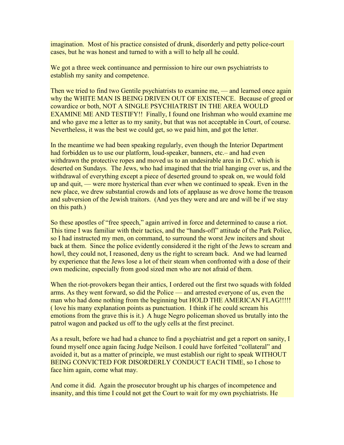imagination. Most of his practice consisted of drunk, disorderly and petty police-court cases, but he was honest and turned to with a will to help all he could.

We got a three week continuance and permission to hire our own psychiatrists to establish my sanity and competence.

Then we tried to find two Gentile psychiatrists to examine me, — and learned once again why the WHITE MAN IS BEING DRIVEN OUT OF EXISTENCE. Because of greed or cowardice or both, NOT A SINGLE PSYCHIATRIST IN THE AREA WOULD EXAMINE ME AND TESTIFY!! Finally, I found one Irishman who would examine me and who gave me a letter as to my sanity, but that was not acceptable in Court, of course. Nevertheless, it was the best we could get, so we paid him, and got the letter.

In the meantime we had been speaking regularly, even though the Interior Department had forbidden us to use our platform, loud-speaker, banners, etc.– and had even withdrawn the protective ropes and moved us to an undesirable area in D.C. which is deserted on Sundays. The Jews, who had imagined that the trial hanging over us, and the withdrawal of everything except a piece of deserted ground to speak on, we would fold up and quit, — were more hysterical than ever when we continued to speak. Even in the new place, we drew substantial crowds and lots of applause as we drove home the treason and subversion of the Jewish traitors. (And yes they were and are and will be if we stay on this path.)

So these apostles of "free speech," again arrived in force and determined to cause a riot. This time I was familiar with their tactics, and the "hands-off" attitude of the Park Police, so I had instructed my men, on command, to surround the worst Jew inciters and shout back at them. Since the police evidently considered it the right of the Jews to scream and howl, they could not, I reasoned, deny us the right to scream back. And we had learned by experience that the Jews lose a lot of their steam when confronted with a dose of their own medicine, especially from good sized men who are not afraid of them.

When the riot-provokers began their antics, I ordered out the first two squads with folded arms. As they went forward, so did the Police — and arrested everyone of us, even the man who had done nothing from the beginning but HOLD THE AMERICAN FLAG!!!!! ( love his many explanation points as punctuation. I think if he could scream his emotions from the grave this is it.) A huge Negro policeman shoved us brutally into the patrol wagon and packed us off to the ugly cells at the first precinct.

As a result, before we had had a chance to find a psychiatrist and get a report on sanity, I found myself once again facing Judge Neilson. I could have forfeited "collateral" and avoided it, but as a matter of principle, we must establish our right to speak WITHOUT BEING CONVICTED FOR DISORDERLY CONDUCT EACH TIME, so I chose to face him again, come what may.

And come it did. Again the prosecutor brought up his charges of incompetence and insanity, and this time I could not get the Court to wait for my own psychiatrists. He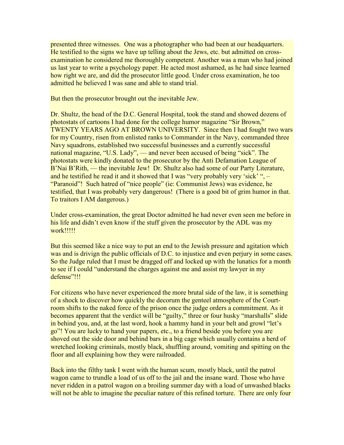presented three witnesses. One was a photographer who had been at our headquarters. He testified to the signs we have up telling about the Jews, etc. but admitted on crossexamination he considered me thoroughly competent. Another was a man who had joined us last year to write a psychology paper. He acted most ashamed, as he had since learned how right we are, and did the prosecutor little good. Under cross examination, he too admitted he believed I was sane and able to stand trial.

But then the prosecutor brought out the inevitable Jew.

Dr. Shultz, the head of the D.C. General Hospital, took the stand and showed dozens of photostats of cartoons I had done for the college humor magazine "Sir Brown," TWENTY YEARS AGO AT BROWN UNIVERSITY. Since then I had fought two wars for my Country, risen from enlisted ranks to Commander in the Navy, commanded three Navy squadrons, established two successful businesses and a currently successful national magazine, "U.S. Lady", — and never been accused of being "sick". The photostats were kindly donated to the prosecutor by the Anti Defamation League of B'Nai B'Rith, — the inevitable Jew! Dr. Shultz also had some of our Party Literature, and he testified he read it and it showed that I was "very probably very 'sick' ", – "Paranoid"! Such hatred of "nice people" (ie: Communist Jews) was evidence, he testified, that I was probably very dangerous! (There is a good bit of grim humor in that. To traitors I AM dangerous.)

Under cross-examination, the great Doctor admitted he had never even seen me before in his life and didn't even know if the stuff given the prosecutor by the ADL was my work!!!!!

But this seemed like a nice way to put an end to the Jewish pressure and agitation which was and is drivign the public officials of D.C. to injustice and even perjury in some cases. So the Judge ruled that I must be dragged off and locked up with the lunatics for a month to see if I could "understand the charges against me and assist my lawyer in my defense"!!!

For citizens who have never experienced the more brutal side of the law, it is something of a shock to discover how quickly the decorum the genteel atmosphere of the Courtroom shifts to the naked force of the prison once the judge orders a commitment. As it becomes apparent that the verdict will be "guilty," three or four husky "marshalls" slide in behind you, and, at the last word, hook a hammy hand in your belt and growl "let's go"! You are lucky to hand your papers, etc., to a friend beside you before you are shoved out the side door and behind bars in a big cage which usually contains a herd of wretched looking criminals, mostly black, shuffling around, vomiting and spitting on the floor and all explaining how they were railroaded.

Back into the filthy tank I went with the human scum, mostly black, until the patrol wagon came to trundle a load of us off to the jail and the insane ward. Those who have never ridden in a patrol wagon on a broiling summer day with a load of unwashed blacks will not be able to imagine the peculiar nature of this refined torture. There are only four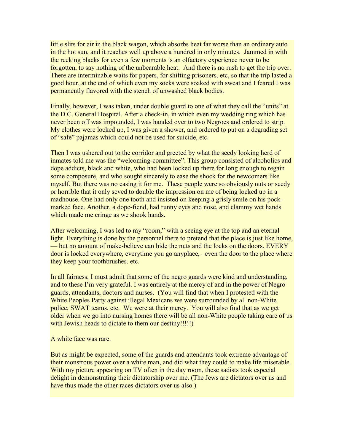little slits for air in the black wagon, which absorbs heat far worse than an ordinary auto in the hot sun, and it reaches well up above a hundred in only minutes. Jammed in with the reeking blacks for even a few moments is an olfactory experience never to be forgotten, to say nothing of the unbearable heat. And there is no rush to get the trip over. There are interminable waits for papers, for shifting prisoners, etc, so that the trip lasted a good hour, at the end of which even my socks were soaked with sweat and I feared I was permanently flavored with the stench of unwashed black bodies.

Finally, however, I was taken, under double guard to one of what they call the "units" at the D.C. General Hospital. After a check-in, in which even my wedding ring which has never been off was impounded, I was handed over to two Negroes and ordered to strip. My clothes were locked up, I was given a shower, and ordered to put on a degrading set of "safe" pajamas which could not be used for suicide, etc.

Then I was ushered out to the corridor and greeted by what the seedy looking herd of inmates told me was the "welcoming-committee". This group consisted of alcoholics and dope addicts, black and white, who had been locked up there for long enough to regain some composure, and who sought sincerely to ease the shock for the newcomers like myself. But there was no easing it for me. These people were so obviously nuts or seedy or horrible that it only seved to double the impression on me of being locked up in a madhouse. One had only one tooth and insisted on keeping a grisly smile on his pockmarked face. Another, a dope-fiend, had runny eyes and nose, and clammy wet hands which made me cringe as we shook hands.

After welcoming, I was led to my "room," with a seeing eye at the top and an eternal light. Everything is done by the personnel there to pretend that the place is just like home, — but no amount of make-believe can hide the nuts and the locks on the doors. EVERY door is locked everywhere, everytime you go anyplace, –even the door to the place where they keep your toothbrushes. etc.

In all fairness, I must admit that some of the negro guards were kind and understanding, and to these I'm very grateful. I was entirely at the mercy of and in the power of Negro guards, attendants, doctors and nurses. (You will find that when I protested with the White Peoples Party against illegal Mexicans we were surrounded by all non-White police, SWAT teams, etc. We were at their mercy. You will also find that as we get older when we go into nursing homes there will be all non-White people taking care of us with Jewish heads to dictate to them our destiny!!!!!)

A white face was rare.

But as might be expected, some of the guards and attendants took extreme advantage of their monstrous power over a white man, and did what they could to make life miserable. With my picture appearing on TV often in the day room, these sadists took especial delight in demonstrating their dictatorship over me. (The Jews are dictators over us and have thus made the other races dictators over us also.)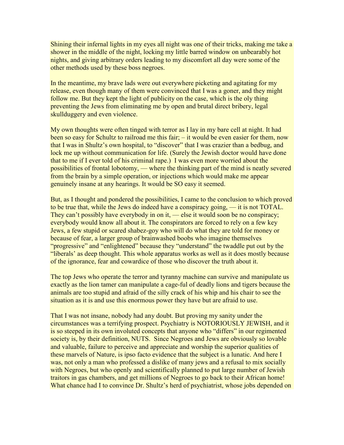Shining their infernal lights in my eyes all night was one of their tricks, making me take a shower in the middle of the night, locking my little barred window on unbearably hot nights, and giving arbitrary orders leading to my discomfort all day were some of the other methods used by these boss negroes.

In the meantime, my brave lads were out everywhere picketing and agitating for my release, even though many of them were convinced that I was a goner, and they might follow me. But they kept the light of publicity on the case, which is the oly thing preventing the Jews from eliminating me by open and brutal direct bribery, legal skullduggery and even violence.

My own thoughts were often tinged with terror as I lay in my bare cell at night. It had been so easy for Schultz to railroad me this fair; – it would be even easier for them, now that I was in Shultz's own hospital, to "discover" that I was crazier than a bedbug, and lock me up without communication for life. (Surely the Jewish doctor would have done that to me if I ever told of his criminal rape.) I was even more worried about the possibilities of frontal lobotomy, — where the thinking part of the mind is neatly severed from the brain by a simple operation, or injections which would make me appear genuinely insane at any hearings. It would be SO easy it seemed.

But, as I thought and pondered the possibilities, I came to the conclusion to which proved to be true that, while the Jews do indeed have a conspiracy going, — it is not TOTAL. They can't possibly have everybody in on it, — else it would soon be no conspiracy; everybody would know all about it. The conspirators are forced to rely on a few key Jews, a few stupid or scared shabez-goy who will do what they are told for money or because of fear, a larger group of brainwashed boobs who imagine themselves "progressive" and "enlightened" because they "understand" the twaddle put out by the "liberals' as deep thought. This whole apparatus works as well as it does mostly because of the ignorance, fear and cowardice of those who discover the truth about it.

The top Jews who operate the terror and tyranny machine can survive and manipulate us exactly as the lion tamer can manipulate a cage-ful of deadly lions and tigers because the animals are too stupid and afraid of the silly crack of his whip and his chair to see the situation as it is and use this enormous power they have but are afraid to use.

That I was not insane, nobody had any doubt. But proving my sanity under the circumstances was a terrifying prospect. Psychiatry is NOTORIOUSLY JEWISH, and it is so steeped in its own involuted concepts that anyone who "differs" in our regimented society is, by their definition, NUTS. Since Negroes and Jews are obviously so lovable and valuable, failure to perceive and appreciate and worship the superior qualities of these marvels of Nature, is ipso facto evidence that the subject is a lunatic. And here I was, not only a man who professed a dislike of many jews and a refusal to mix socially with Negroes, but who openly and scientifically planned to put large number of Jewish traitors in gas chambers, and get millions of Negroes to go back to their African home! What chance had I to convince Dr. Shultz's herd of psychiatrist, whose jobs depended on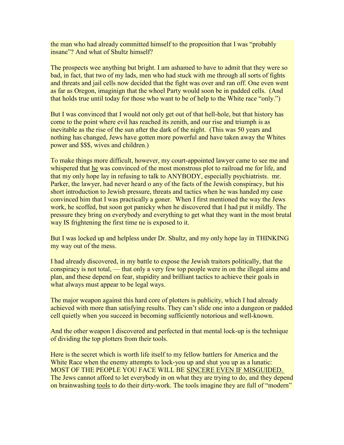the man who had already committed himself to the proposition that I was "probably insane"? And what of Shultz himself?

The prospects wee anything but bright. I am ashamed to have to admit that they were so bad, in fact, that two of my lads, men who had stuck with me through all sorts of fights and threats and jail cells now decided that the fight was over and ran off. One even went as far as Oregon, imaginign that the whoel Party would soon be in padded cells. (And that holds true until today for those who want to be of help to the White race "only.")

But I was convinced that I would not only get out of that hell-hole, but that history has come to the point where evil has reached its zenith, and our rise and triumph is as inevitable as the rise of the sun after the dark of the night. (This was 50 years and nothing has changed, Jews have gotten more powerful and have taken away the Whites power and \$\$\$, wives and children.)

To make things more difficult, however, my court-appointed lawyer came to see me and whispered that he was convinced of the most monstrous plot to railroad me for life, and that my only hope lay in refusing to talk to ANYBODY, especially psychiatrists. mr. Parker, the lawyer, had never heard o any of the facts of the Jewish conspiracy, but his short introduction to Jewish pressure, threats and tactics when he was handed my case convinced him that I was practically a goner. When I first mentioned the way the Jews work, he scoffed, but soon got panicky when he discovered that I had put it mildly. The pressure they bring on everybody and everything to get what they want in the most brutal way IS frightening the first time ne is exposed to it.

But I was locked up and helpless under Dr. Shultz, and my only hope lay in THINKING my way out of the mess.

I had already discovered, in my battle to expose the Jewish traitors politically, that the conspiracy is not total, — that only a very few top people were in on the illegal aims and plan, and these depend on fear, stupidity and brilliant tactics to achieve their goals in what always must appear to be legal ways.

The major weapon against this hard core of plotters is publicity, which I had already achieved with more than satisfying results. They can't slide one into a dungeon or padded cell quietly when you succeed in becoming sufficiently notorious and well-known.

And the other weapon I discovered and perfected in that mental lock-up is the technique of dividing the top plotters from their tools.

Here is the secret which is worth life itself to my fellow battlers for America and the White Race when the enemy attempts to lock-you up and shut you up as a lunatic: MOST OF THE PEOPLE YOU FACE WILL BE SINCERE EVEN IF MISGUIDED. The Jews cannot afford to let everybody in on what they are trying to do, and they depend on brainwashing tools to do their dirty-work. The tools imagine they are full of "modern"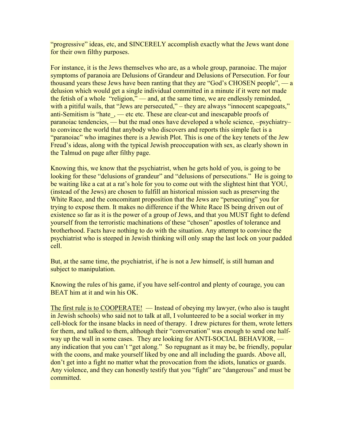"progressive" ideas, etc, and SINCERELY accomplish exactly what the Jews want done for their own filthy purposes.

For instance, it is the Jews themselves who are, as a whole group, paranoiac. The major symptoms of paranoia are Delusions of Grandeur and Delusions of Persecution. For four thousand years these Jews have been ranting that they are "God's CHOSEN people", — a delusion which would get a single individual committed in a minute if it were not made the fetish of a whole "religion," — and, at the same time, we are endlessly reminded, with a pitiful wails, that "Jews are persecuted," – they are always "innocent scapegoats," anti-Semitism is "hate\_, — etc etc. These are clear-cut and inescapable proofs of paranoiac tendencies, — but the mad ones have developed a whole science, –psychiatry– to convince the world that anybody who discovers and reports this simple fact is a "paranoiac" who imagines there is a Jewish Plot. This is one of the key tenets of the Jew Freud's ideas, along with the typical Jewish preoccupation with sex, as clearly shown in the Talmud on page after filthy page.

Knowing this, we know that the psychiatrist, when he gets hold of you, is going to be looking for these "delusions of grandeur" and "delusions of persecutions." He is going to be waiting like a cat at a rat's hole for you to come out with the slightest hint that YOU, (instead of the Jews) are chosen to fulfill an historical mission such as preserving the White Race, and the concomitant proposition that the Jews are "persecuting" you for trying to expose them. It makes no difference if the White Race IS being driven out of existence so far as it is the power of a group of Jews, and that you MUST fight to defend yourself from the terroristic machinations of these "chosen" apostles of tolerance and brotherhood. Facts have nothing to do with the situation. Any attempt to convince the psychiatrist who is steeped in Jewish thinking will only snap the last lock on your padded cell.

But, at the same time, the psychiatrist, if he is not a Jew himself, is still human and subject to manipulation.

Knowing the rules of his game, if you have self-control and plenty of courage, you can BEAT him at it and win his OK.

The first rule is to COOPERATE! — Instead of obeying my lawyer, (who also is taught in Jewish schools) who said not to talk at all, I volunteered to be a social worker in my cell-block for the insane blacks in need of therapy. I drew pictures for them, wrote letters for them, and talked to them, although their "conversation" was enough to send one halfway up the wall in some cases. They are looking for ANTI-SOCIAL BEHAVIOR, any indication that you can't "get along." So repugnant as it may be, be friendly, popular with the coons, and make yourself liked by one and all including the guards. Above all, don't get into a fight no matter what the provocation from the idiots, lunatics or guards. Any violence, and they can honestly testify that you "fight" are "dangerous" and must be committed.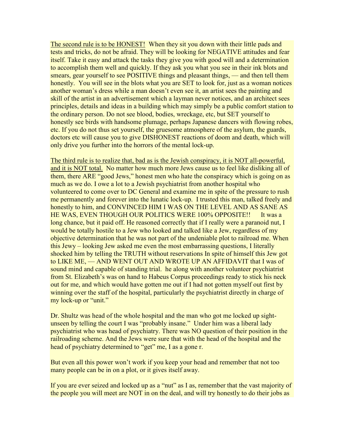The second rule is to be HONEST! When they sit you down with their little pads and tests and tricks, do not be afraid. They will be looking for NEGATIVE attitudes and fear itself. Take it easy and attack the tasks they give you with good will and a determination to accomplish them well and quickly. If they ask you what you see in their ink blots and smears, gear yourself to see POSITIVE things and pleasant things, — and then tell them honestly. You will see in the blots what you are SET to look for, just as a woman notices another woman's dress while a man doesn't even see it, an artist sees the painting and skill of the artist in an advertisement which a layman never notices, and an architect sees principles, details and ideas in a building which may simply be a public comfort station to the ordinary person. Do not see blood, bodies, wreckage, etc, but SET yourself to honestly see birds with handsome plumage, perhaps Japanese dancers with flowing robes, etc. If you do not thus set yourself, the gruesome atmosphere of the asylum, the guards, doctors etc will cause you to give DISHONEST reactions of doom and death, which will only drive you further into the horrors of the mental lock-up.

The third rule is to realize that, bad as is the Jewish conspiracy, it is NOT all-powerful, and it is NOT total. No matter how much more Jews cause us to feel like disliking all of them, there ARE "good Jews," honest men who hate the conspiracy which is going on as much as we do. I owe a lot to a Jewish psychiatrist from another hospital who volunteered to come over to DC General and examine me in spite of the pressure to rush me permanently and forever into the lunatic lock-up. I trusted this man, talked freely and honestly to him, and CONVINCED HIM I WAS ON THE LEVEL AND AS SANE AS HE WAS, EVEN THOUGH OUR POLITICS WERE 100% OPPOSITE!! It was a long chance, but it paid off. He reasoned correctly that if I really were a paranoid nut, I would be totally hostile to a Jew who looked and talked like a Jew, regardless of my objective determination that he was not part of the undeniable plot to railroad me. When this Jewy – looking Jew asked me even the most embarrassing questions, I literally shocked him by telling the TRUTH without reservations In spite of himself this Jew got to LIKE ME, — AND WENT OUT AND WROTE UP AN AFFIDAVIT that I was of sound mind and capable of standing trial. he along with another volunteer psychiatrist from St. Elizabeth's was on hand to Habeus Corpus proceedings ready to stick his neck out for me, and which would have gotten me out if I had not gotten myself out first by winning over the staff of the hospital, particularly the psychiatrist directly in charge of my lock-up or "unit."

Dr. Shultz was head of the whole hospital and the man who got me locked up sightunseen by telling the court I was "probably insane." Under him was a liberal lady psychiatrist who was head of psychiatry. There was NO question of their position in the railroading scheme. And the Jews were sure that with the head of the hospital and the head of psychiatry determined to "get" me, I as a gone r.

But even all this power won't work if you keep your head and remember that not too many people can be in on a plot, or it gives itself away.

If you are ever seized and locked up as a "nut" as I as, remember that the vast majority of the people you will meet are NOT in on the deal, and will try honestly to do their jobs as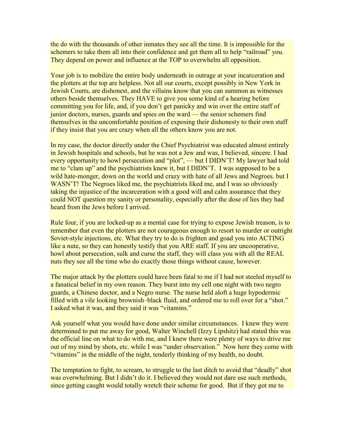the do with the thousands of other inmates they see all the time. It is impossible for the schemers to take them all into their confidence and get them all to help "railroad" you. They depend on power and influence at the TOP to overwhelm all opposition.

Your job is to mobilize the entire body underneath in outrage at your incarceration and the plotters at the top are helpless. Not all our courts, except possibly in New York in Jewish Courts, are dishonest, and the villains know that you can summon as witnesses others beside themselves. They HAVE to give you some kind of a hearing before committing you for life, and, if you don't get panicky and win over the entire staff of junior doctors, nurses, guards and spies on the ward — the senior schemers find themselves in the uncomfortable position of exposing their dishonesty to their own staff if they insist that you are crazy when all the others know you are not.

In my case, the doctor directly under the Chief Psychiatrist was educated almost entirely in Jewish hospitals and schools, but he was not a Jew and was, I believed, sincere. I had every opportunity to howl persecution and "plot", — but I DIDN'T! My lawyer had told me to "clam up" and the psychiatrists knew it, but I DIDN'T. I was supposed to be a wild hate-monger, down on the world and crazy with hate of all Jews and Negroes. but I WASN'T! The Negroes liked me, the psychiatrists liked me, and I was so obviously taking the injustice of the incarceration with a good will and calm assurance that they could NOT question my sanity or personality, especially after the dose of lies they had heard from the Jews before I arrived.

Rule four, if you are locked-up as a mental case for trying to expose Jewish treason, is to remember that even the plotters are not courageous enough to resort to murder or outright Soviet-style injections, etc. What they try to do is frighten and goad you into ACTING like a nute, so they can honestly testify that you ARE staff. If you are uncooperative, howl about persecution, sulk and curse the staff, they will class you with all the REAL nuts they see all the time who do exactly those things without cause, however.

The major attack by the plotters could have been fatal to me if I had not steeled myself to a fanatical belief in my own reason. They burst into my cell one night with two negro guards, a Chinese doctor, and a Negro nurse. The nurse held aloft a huge hypodermic filled with a vile looking brownish–black fluid, and ordered me to roll over for a "shot." I asked what it was, and they said it was "vitamins."

Ask yourself what you would have done under similar circumstances. I knew they were determined to put me away for good, Walter Winchell (Izzy Lipshitz) had stated this was the official line on what to do with me, and I knew there were plenty of ways to drive me out of my mind by shots, etc. while I was "under observation." Now here they come with "vitamins" in the middle of the night, tenderly thinking of my health, no doubt.

The temptation to fight, to scream, to struggle to the last ditch to avoid that "deadly" shot was overwhelming. But I didn't do it. I believed they would not dare use such methods, since getting caught would totally wretch their scheme for good. But if they got me to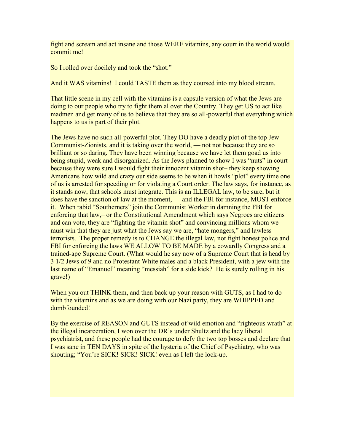fight and scream and act insane and those WERE vitamins, any court in the world would commit me!

So I rolled over docilely and took the "shot."

And it WAS vitamins! I could TASTE them as they coursed into my blood stream.

That little scene in my cell with the vitamins is a capsule version of what the Jews are doing to our people who try to fight them al over the Country. They get US to act like madmen and get many of us to believe that they are so all-powerful that everything which happens to us is part of their plot.

The Jews have no such all-powerful plot. They DO have a deadly plot of the top Jew-Communist-Zionists, and it is taking over the world, — not not because they are so brilliant or so daring. They have been winning because we have let them goad us into being stupid, weak and disorganized. As the Jews planned to show I was "nuts" in court because they were sure I would fight their innocent vitamin shot– they keep showing Americans how wild and crazy our side seems to be when it howls "plot" every time one of us is arrested for speeding or for violating a Court order. The law says, for instance, as it stands now, that schools must integrate. This is an ILLEGAL law, to be sure, but it does have the sanction of law at the moment, — and the FBI for instance, MUST enforce it. When rabid "Southerners" join the Communist Worker in damning the FBI for enforcing that law,– or the Constitutional Amendment which says Negroes are citizens and can vote, they are "fighting the vitamin shot" and convincing millions whom we must win that they are just what the Jews say we are, "hate mongers," and lawless terrorists. The proper remedy is to CHANGE the illegal law, not fight honest police and FBI for enforcing the laws WE ALLOW TO BE MADE by a cowardly Congress and a trained-ape Supreme Court. (What would he say now of a Supreme Court that is head by 3 1/2 Jews of 9 and no Protestant White males and a black President, with a jew with the last name of "Emanuel" meaning "messiah" for a side kick? He is surely rolling in his grave!)

When you out THINK them, and then back up your reason with GUTS, as I had to do with the vitamins and as we are doing with our Nazi party, they are WHIPPED and dumbfounded!

By the exercise of REASON and GUTS instead of wild emotion and "righteous wrath" at the illegal incarceration, I won over the DR's under Shultz and the lady liberal psychiatrist, and these people had the courage to defy the two top bosses and declare that I was sane in TEN DAYS in spite of the hysteria of the Chief of Psychiatry, who was shouting; "You're SICK! SICK! SICK! even as I left the lock-up.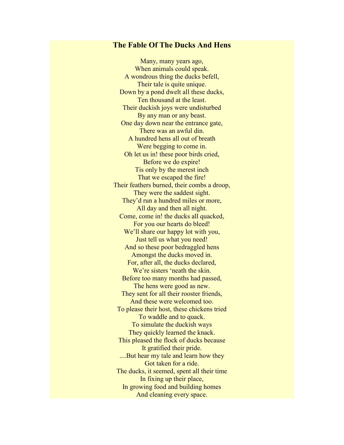#### <span id="page-53-0"></span>**The Fable Of The Ducks And Hens**

Many, many years ago, When animals could speak. A wondrous thing the ducks befell, Their tale is quite unique. Down by a pond dwelt all these ducks, Ten thousand at the least. Their duckish joys were undisturbed By any man or any beast. One day down near the entrance gate, There was an awful din. A hundred hens all out of breath Were begging to come in. Oh let us in! these poor birds cried, Before we do expire! Tis only by the merest inch That we escaped the fire! Their feathers burned, their combs a droop, They were the saddest sight. They'd run a hundred miles or more, All day and then all night. Come, come in! the ducks all quacked, For you our hearts do bleed! We'll share our happy lot with you, Just tell us what you need! And so these poor bedraggled hens Amongst the ducks moved in. For, after all, the ducks declared, We're sisters 'neath the skin. Before too many months had passed, The hens were good as new. They sent for all their rooster friends, And these were welcomed too. To please their host, these chickens tried To waddle and to quack. To simulate the duckish ways They quickly learned the knack. This pleased the flock of ducks because It gratified their pride. ....But hear my tale and learn how they Got taken for a ride. The ducks, it seemed, spent all their time In fixing up their place, In growing food and building homes And cleaning every space.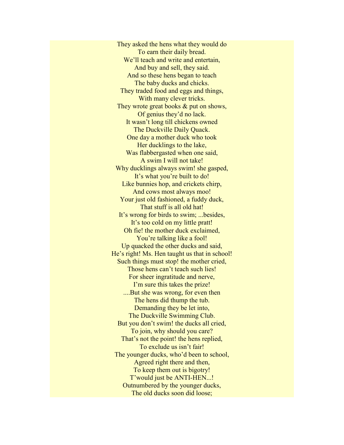They asked the hens what they would do To earn their daily bread. We'll teach and write and entertain, And buy and sell, they said. And so these hens began to teach The baby ducks and chicks. They traded food and eggs and things, With many clever tricks. They wrote great books  $\&$  put on shows, Of genius they'd no lack. It wasn't long till chickens owned The Duckville Daily Quack. One day a mother duck who took Her ducklings to the lake, Was flabbergasted when one said, A swim I will not take! Why ducklings always swim! she gasped, It's what you're built to do! Like bunnies hop, and crickets chirp, And cows most always moo! Your just old fashioned, a fuddy duck, That stuff is all old hat! It's wrong for birds to swim; ...besides, It's too cold on my little pratt! Oh fie! the mother duck exclaimed, You're talking like a fool! Up quacked the other ducks and said, He's right! Ms. Hen taught us that in school! Such things must stop! the mother cried, Those hens can't teach such lies! For sheer ingratitude and nerve, I'm sure this takes the prize! ....But she was wrong, for even then The hens did thump the tub. Demanding they be let into, The Duckville Swimming Club. But you don't swim! the ducks all cried, To join, why should you care? That's not the point! the hens replied, To exclude us isn't fair! The younger ducks, who'd been to school, Agreed right there and then, To keep them out is bigotry! T'would just be ANTI-HEN...! Outnumbered by the younger ducks, The old ducks soon did loose;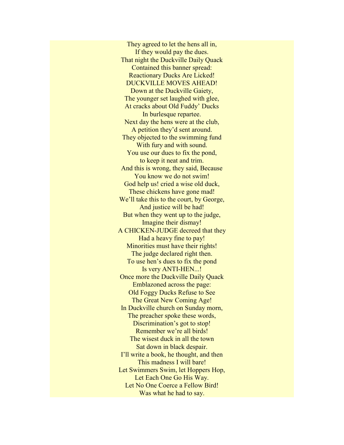They agreed to let the hens all in, If they would pay the dues. That night the Duckville Daily Quack Contained this banner spread: Reactionary Ducks Are Licked! DUCKVILLE MOVES AHEAD! Down at the Duckville Gaiety, The younger set laughed with glee, At cracks about Old Fuddy' Ducks In burlesque repartee. Next day the hens were at the club, A petition they'd sent around. They objected to the swimming fund With fury and with sound. You use our dues to fix the pond, to keep it neat and trim. And this is wrong, they said, Because You know we do not swim! God help us! cried a wise old duck, These chickens have gone mad! We'll take this to the court, by George, And justice will be had! But when they went up to the judge, Imagine their dismay! A CHICKEN-JUDGE decreed that they Had a heavy fine to pay! Minorities must have their rights! The judge declared right then. To use hen's dues to fix the pond Is very ANTI-HEN...! Once more the Duckville Daily Quack Emblazoned across the page: Old Foggy Ducks Refuse to See The Great New Coming Age! In Duckville church on Sunday morn, The preacher spoke these words, Discrimination's got to stop! Remember we're all birds! The wisest duck in all the town Sat down in black despair. I'll write a book, he thought, and then This madness I will bare! Let Swimmers Swim, let Hoppers Hop, Let Each One Go His Way. Let No One Coerce a Fellow Bird! Was what he had to say.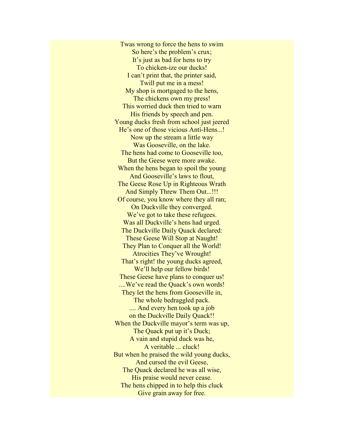Twas wrong to force the hens to swim So here's the problem's crux; It's just as bad for hens to try To chicken-ize our ducks! I can't print that, the printer said, Twill put me in a mess! My shop is mortgaged to the hens, The chickens own my press! This worried duck then tried to warn His friends by speech and pen. Young ducks fresh from school just jeered He's one of those vicious Anti-Hens...! Now up the stream a little way Was Gooseville, on the lake. The hens had come to Gooseville too, But the Geese were more awake. When the hens began to spoil the young And Gooseville's laws to flout, The Geese Rose Up in Righteous Wrath And Simply Threw Them Out...!!! Of course, you know where they all ran; On Duckville they converged. We've got to take these refugees. Was all Duckville's hens had urged. The Duckville Daily Quack declared: These Geese Will Stop at Naught! They Plan to Conquer all the World! Atrocities They've Wrought! That's right! the young ducks agreed, We'll help our fellow birds! These Geese have plans to conquer us! ....We've read the Quack's own words! They let the hens from Gooseville in, The whole bedraggled pack. .... And every hen took up a job on the Duckville Daily Quack!! When the Duckville mayor's term was up, The Quack put up it's Duck; A vain and stupid duck was he, A veritable ... cluck! But when he praised the wild young ducks, And cursed the evil Geese, The Quack declared he was all wise, His praise would never cease. The hens chipped in to help this cluck Give grain away for free.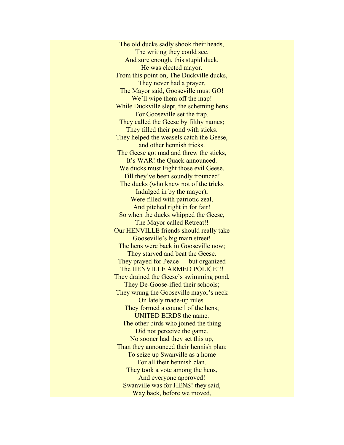The old ducks sadly shook their heads, The writing they could see. And sure enough, this stupid duck, He was elected mayor. From this point on, The Duckville ducks, They never had a prayer. The Mayor said, Gooseville must GO! We'll wipe them off the map! While Duckville slept, the scheming hens For Gooseville set the trap. They called the Geese by filthy names; They filled their pond with sticks. They helped the weasels catch the Geese, and other hennish tricks. The Geese got mad and threw the sticks, It's WAR! the Quack announced. We ducks must Fight those evil Geese, Till they've been soundly trounced! The ducks (who knew not of the tricks Indulged in by the mayor), Were filled with patriotic zeal, And pitched right in for fair! So when the ducks whipped the Geese, The Mayor called Retreat!! Our HENVILLE friends should really take Gooseville's big main street! The hens were back in Gooseville now; They starved and beat the Geese. They prayed for Peace — but organized The HENVILLE ARMED POLICE!!! They drained the Geese's swimming pond, They De-Goose-ified their schools; They wrung the Gooseville mayor's neck On lately made-up rules. They formed a council of the hens; UNITED BIRDS the name. The other birds who joined the thing Did not perceive the game. No sooner had they set this up, Than they announced their hennish plan: To seize up Swanville as a home For all their hennish clan. They took a vote among the hens, And everyone approved! Swanville was for HENS! they said, Way back, before we moved,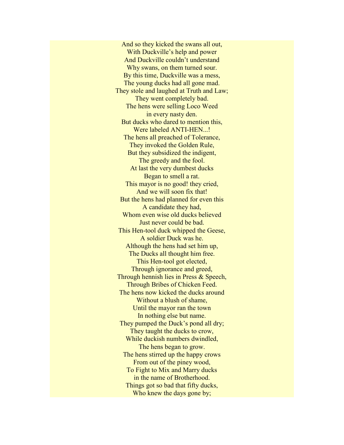And so they kicked the swans all out, With Duckville's help and power And Duckville couldn't understand Why swans, on them turned sour. By this time, Duckville was a mess, The young ducks had all gone mad. They stole and laughed at Truth and Law; They went completely bad. The hens were selling Loco Weed in every nasty den. But ducks who dared to mention this, Were labeled ANTI-HEN...! The hens all preached of Tolerance, They invoked the Golden Rule, But they subsidized the indigent, The greedy and the fool. At last the very dumbest ducks Began to smell a rat. This mayor is no good! they cried, And we will soon fix that! But the hens had planned for even this A candidate they had, Whom even wise old ducks believed Just never could be bad. This Hen-tool duck whipped the Geese, A soldier Duck was he. Although the hens had set him up, The Ducks all thought him free. This Hen-tool got elected, Through ignorance and greed, Through hennish lies in Press & Speech, Through Bribes of Chicken Feed. The hens now kicked the ducks around Without a blush of shame, Until the mayor ran the town In nothing else but name. They pumped the Duck's pond all dry; They taught the ducks to crow, While duckish numbers dwindled, The hens began to grow. The hens stirred up the happy crows From out of the piney wood, To Fight to Mix and Marry ducks in the name of Brotherhood. Things got so bad that fifty ducks, Who knew the days gone by;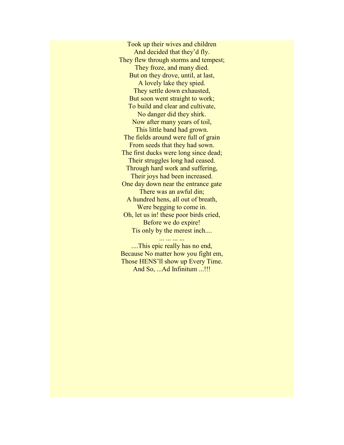Took up their wives and children And decided that they'd fly. They flew through storms and tempest; They froze, and many died. But on they drove, until, at last, A lovely lake they spied. They settle down exhausted, But soon went straight to work; To build and clear and cultivate, No danger did they shirk. Now after many years of toil, This little band had grown. The fields around were full of grain From seeds that they had sown. The first ducks were long since dead; Their struggles long had ceased. Through hard work and suffering, Their joys had been increased. One day down near the entrance gate There was an awful din; A hundred hens, all out of breath, Were begging to come in. Oh, let us in! these poor birds cried, Before we do expire! Tis only by the merest inch....

....This epic really has no end, Because No matter how you fight em, Those HENS'll show up Every Time. And So, ...Ad Infinitum ...!!!

... ... ... ...